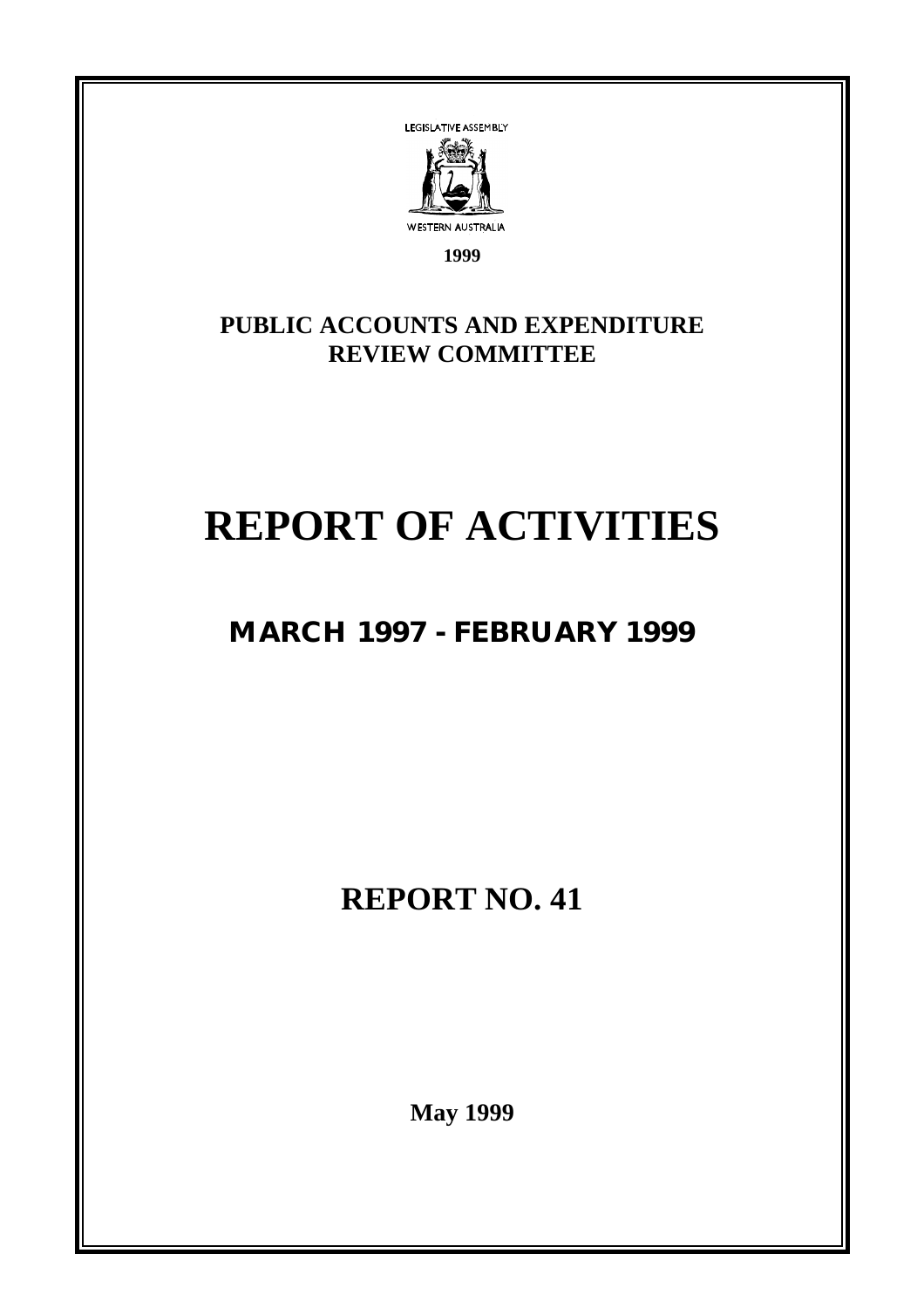

**1999**

**PUBLIC ACCOUNTS AND EXPENDITURE REVIEW COMMITTEE**

# **REPORT OF ACTIVITIES**

## **MARCH 1997 - FEBRUARY 1999**

**REPORT NO. 41**

**May 1999**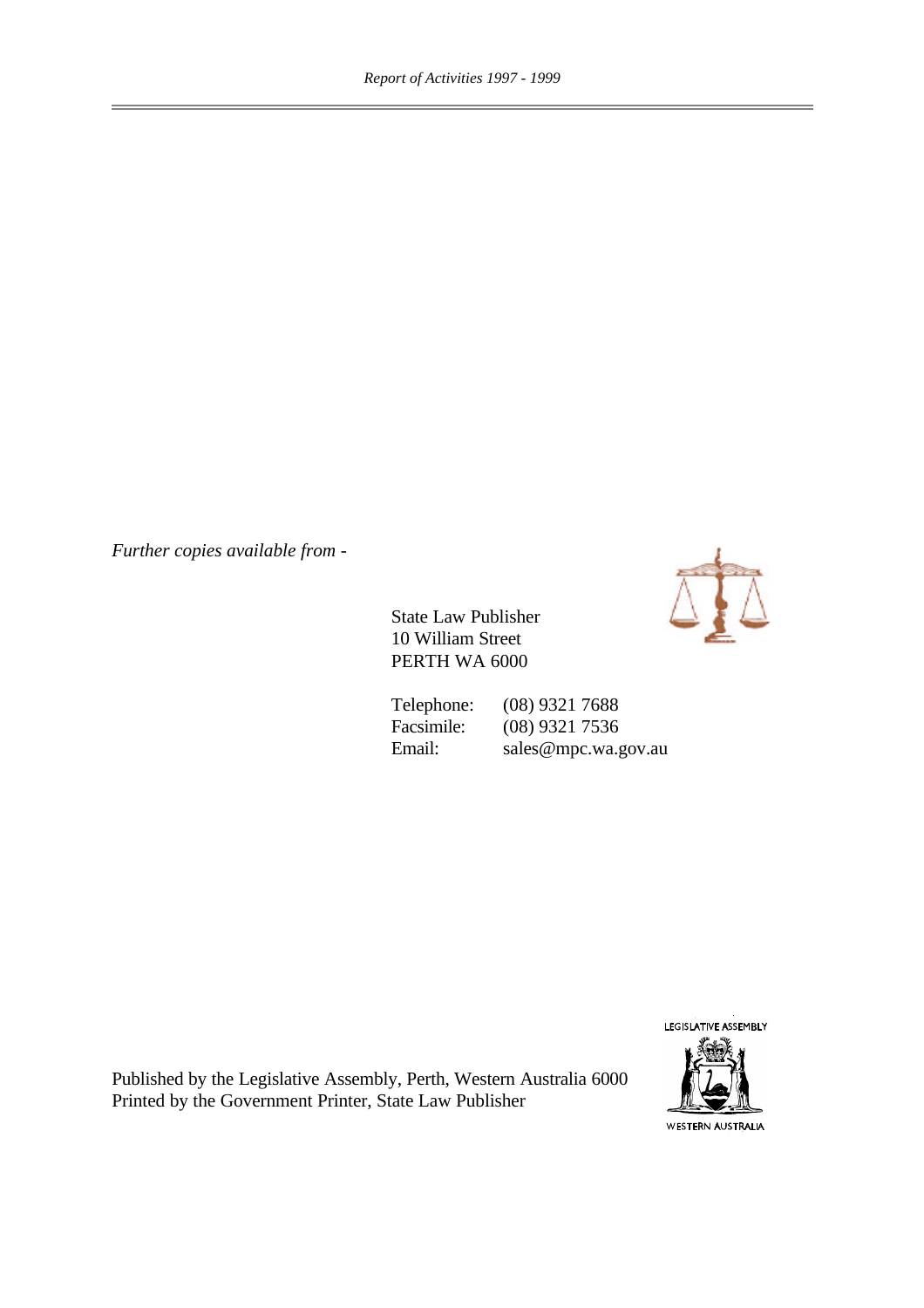*Further copies available from -*



State Law Publisher 10 William Street PERTH WA 6000

Telephone: (08) 9321 7688<br>Facsimile: (08) 9321 7536 (08) 9321 7536 Email: sales@mpc.wa.gov.au

LEGISLATIVE ASSEMBLY



Published by the Legislative Assembly, Perth, Western Australia 6000 Printed by the Government Printer, State Law Publisher

WESTERN AUSTRALIA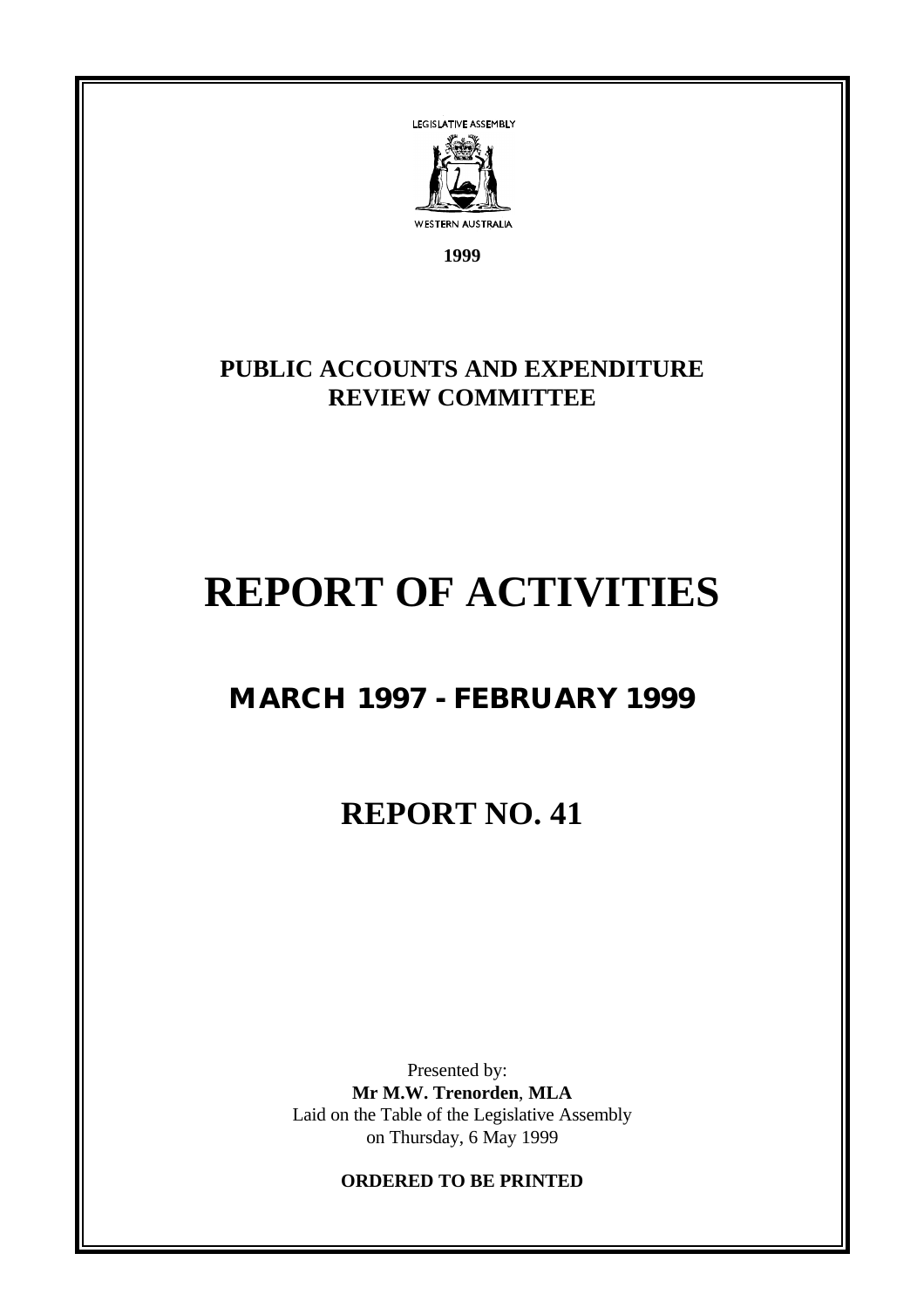

**1999**

## **PUBLIC ACCOUNTS AND EXPENDITURE REVIEW COMMITTEE**

## **REPORT OF ACTIVITIES**

## **MARCH 1997 - FEBRUARY 1999**

## **REPORT NO. 41**

Presented by: **Mr M.W. Trenorden**, **MLA** Laid on the Table of the Legislative Assembly on Thursday, 6 May 1999

**ORDERED TO BE PRINTED**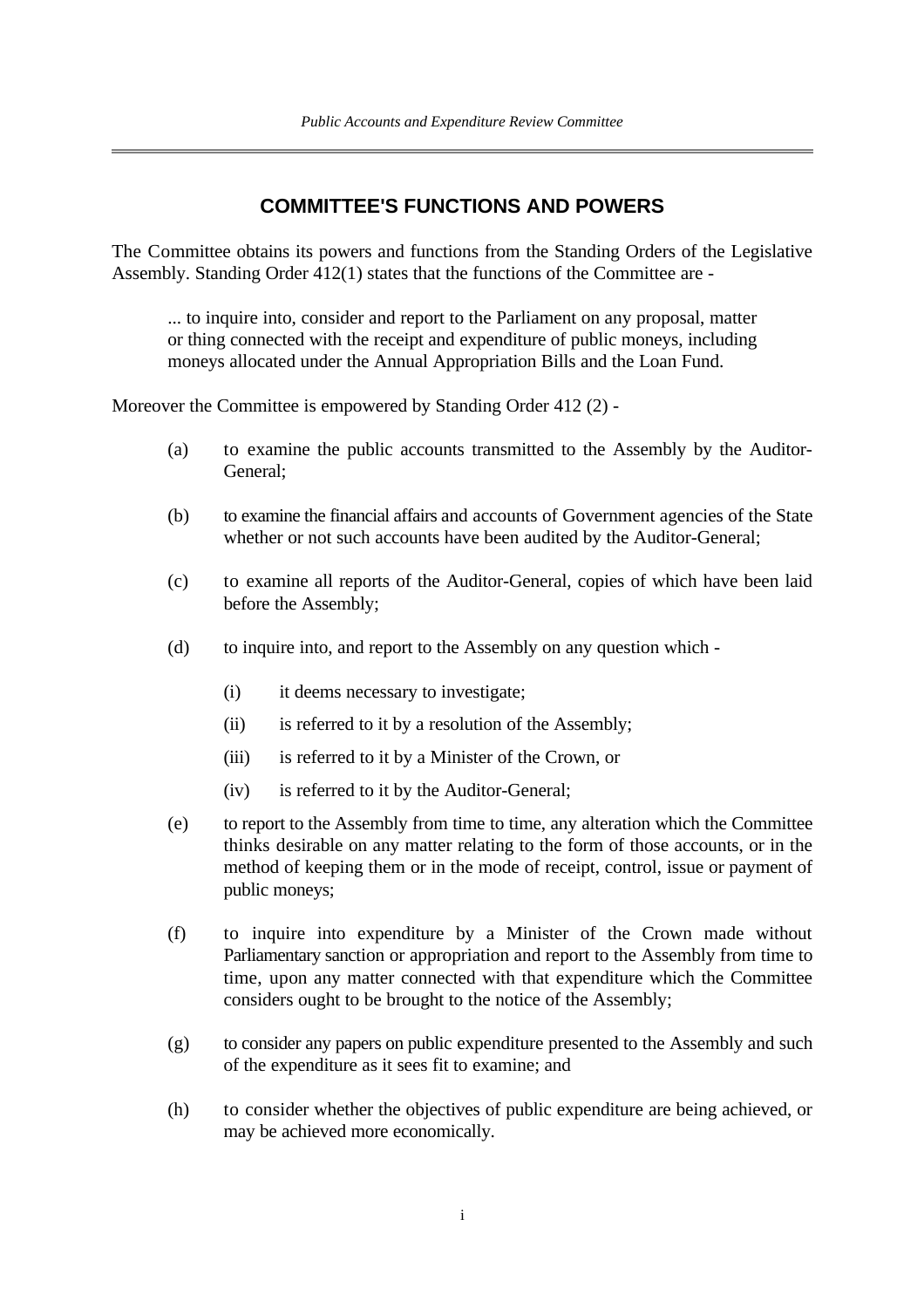### **COMMITTEE'S FUNCTIONS AND POWERS**

The Committee obtains its powers and functions from the Standing Orders of the Legislative Assembly. Standing Order 412(1) states that the functions of the Committee are -

... to inquire into, consider and report to the Parliament on any proposal, matter or thing connected with the receipt and expenditure of public moneys, including moneys allocated under the Annual Appropriation Bills and the Loan Fund.

Moreover the Committee is empowered by Standing Order 412 (2) -

- (a) to examine the public accounts transmitted to the Assembly by the Auditor-General;
- (b) to examine the financial affairs and accounts of Government agencies of the State whether or not such accounts have been audited by the Auditor-General;
- (c) to examine all reports of the Auditor-General, copies of which have been laid before the Assembly;
- (d) to inquire into, and report to the Assembly on any question which
	- (i) it deems necessary to investigate;
	- (ii) is referred to it by a resolution of the Assembly;
	- (iii) is referred to it by a Minister of the Crown, or
	- (iv) is referred to it by the Auditor-General;
- (e) to report to the Assembly from time to time, any alteration which the Committee thinks desirable on any matter relating to the form of those accounts, or in the method of keeping them or in the mode of receipt, control, issue or payment of public moneys;
- (f) to inquire into expenditure by a Minister of the Crown made without Parliamentary sanction or appropriation and report to the Assembly from time to time, upon any matter connected with that expenditure which the Committee considers ought to be brought to the notice of the Assembly;
- (g) to consider any papers on public expenditure presented to the Assembly and such of the expenditure as it sees fit to examine; and
- (h) to consider whether the objectives of public expenditure are being achieved, or may be achieved more economically.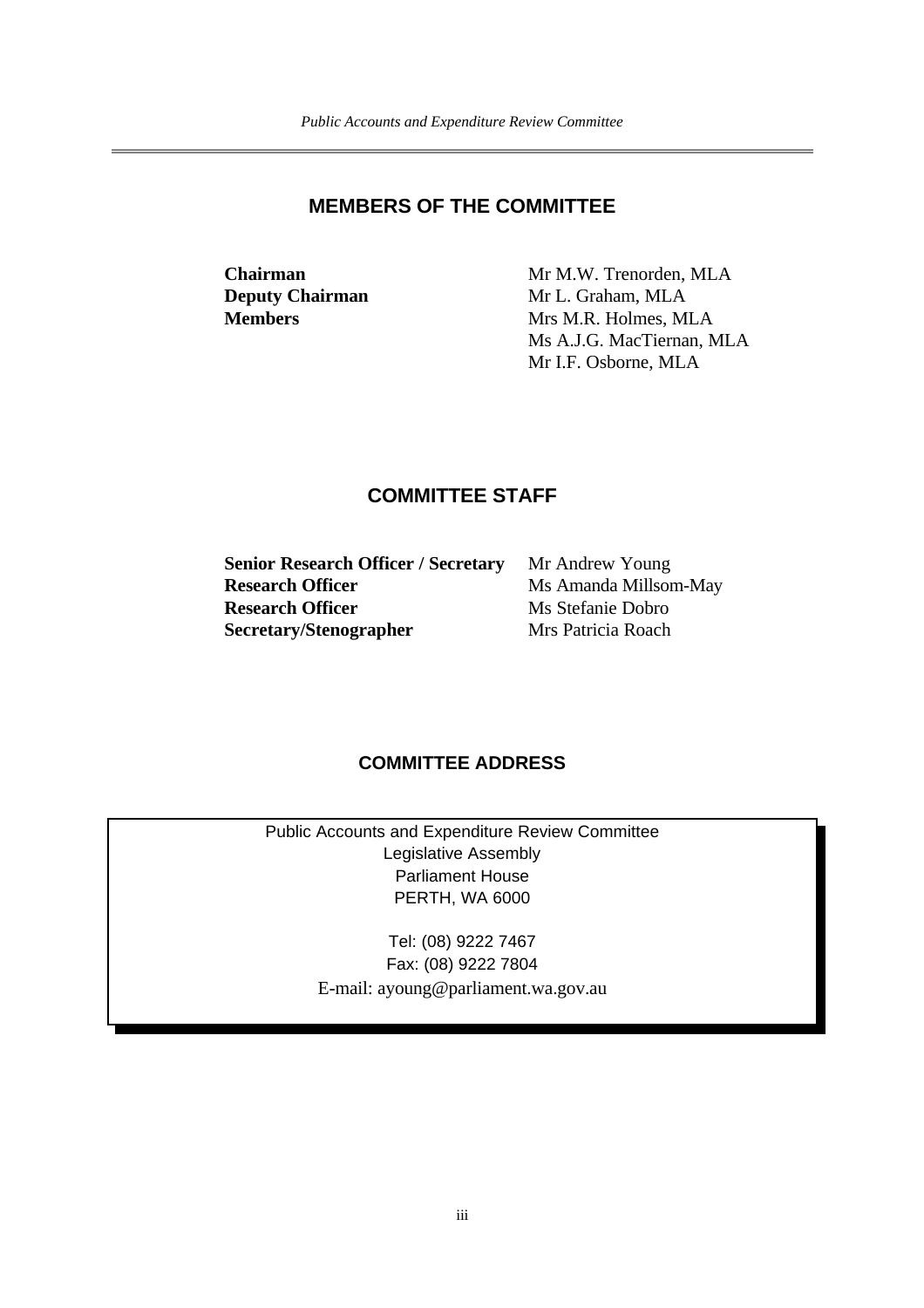#### **MEMBERS OF THE COMMITTEE**

**Chairman** Mr M.W. Trenorden, MLA **Deputy Chairman** Mr L. Graham, MLA **Members** Mrs M.R. Holmes, MLA Ms A.J.G. MacTiernan, MLA Mr I.F. Osborne, MLA

## **COMMITTEE STAFF**

| Mr Andrew Young       |
|-----------------------|
| Ms Amanda Millsom-May |
| Ms Stefanie Dobro     |
| Mrs Patricia Roach    |
|                       |

### **COMMITTEE ADDRESS**

Public Accounts and Expenditure Review Committee Legislative Assembly Parliament House PERTH, WA 6000

> Tel: (08) 9222 7467 Fax: (08) 9222 7804 E-mail: ayoung@parliament.wa.gov.au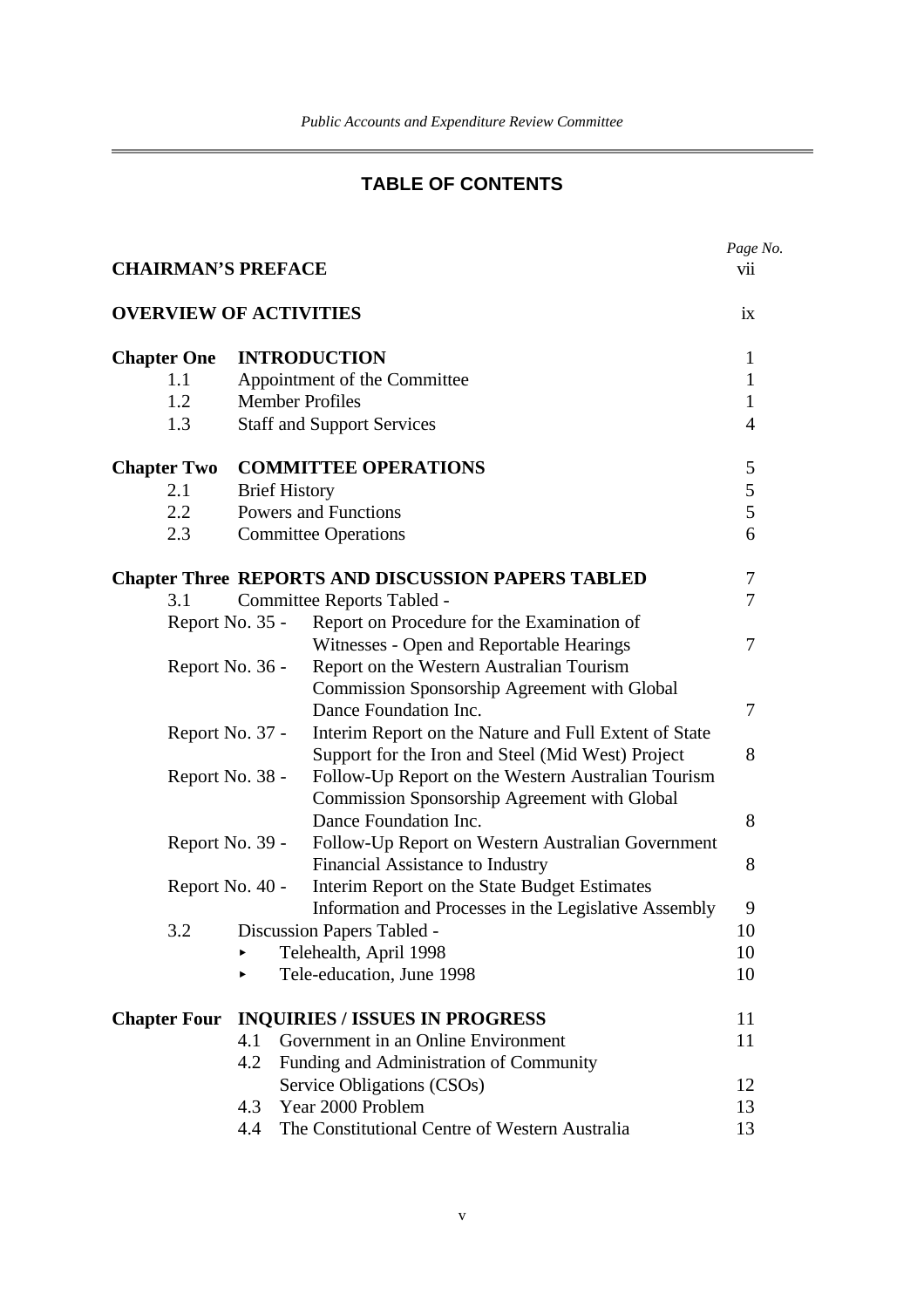## **TABLE OF CONTENTS**

|                               |     |                                                           | Page No.       |
|-------------------------------|-----|-----------------------------------------------------------|----------------|
| <b>CHAIRMAN'S PREFACE</b>     |     |                                                           | vii            |
| <b>OVERVIEW OF ACTIVITIES</b> |     |                                                           | ix             |
| <b>Chapter One</b>            |     | <b>INTRODUCTION</b>                                       | $\mathbf{1}$   |
| 1.1                           |     | Appointment of the Committee                              | $\mathbf{1}$   |
| 1.2                           |     | <b>Member Profiles</b>                                    | $\mathbf{1}$   |
| 1.3                           |     | <b>Staff and Support Services</b>                         | $\overline{4}$ |
| <b>Chapter Two</b>            |     | <b>COMMITTEE OPERATIONS</b>                               | 5              |
| 2.1                           |     | <b>Brief History</b>                                      | 5              |
| 2.2                           |     | <b>Powers and Functions</b>                               | 5              |
| 2.3                           |     | <b>Committee Operations</b>                               | 6              |
|                               |     | <b>Chapter Three REPORTS AND DISCUSSION PAPERS TABLED</b> | 7              |
| 3.1                           |     | Committee Reports Tabled -                                | 7              |
| Report No. 35 -               |     | Report on Procedure for the Examination of                |                |
|                               |     | Witnesses - Open and Reportable Hearings                  | 7              |
| Report No. 36 -               |     | Report on the Western Australian Tourism                  |                |
|                               |     | <b>Commission Sponsorship Agreement with Global</b>       |                |
|                               |     | Dance Foundation Inc.                                     | 7              |
| Report No. 37 -               |     | Interim Report on the Nature and Full Extent of State     |                |
|                               |     | Support for the Iron and Steel (Mid West) Project         | 8              |
| Report No. 38 -               |     | Follow-Up Report on the Western Australian Tourism        |                |
|                               |     | Commission Sponsorship Agreement with Global              |                |
|                               |     | Dance Foundation Inc.                                     | 8              |
| Report No. 39 -               |     | Follow-Up Report on Western Australian Government         |                |
|                               |     | Financial Assistance to Industry                          | 8              |
| Report No. 40 -               |     | Interim Report on the State Budget Estimates              |                |
|                               |     | Information and Processes in the Legislative Assembly     | 9              |
| 3.2                           |     | Discussion Papers Tabled -                                | 10             |
|                               |     | Telehealth, April 1998                                    | 10             |
|                               |     | Tele-education, June 1998                                 | 10             |
| <b>Chapter Four</b>           |     | <b>INQUIRIES / ISSUES IN PROGRESS</b>                     | 11             |
|                               | 4.1 | Government in an Online Environment                       | 11             |
|                               | 4.2 | Funding and Administration of Community                   |                |
|                               |     | Service Obligations (CSOs)                                | 12             |
|                               | 4.3 | Year 2000 Problem                                         | 13             |
|                               | 4.4 | The Constitutional Centre of Western Australia            | 13             |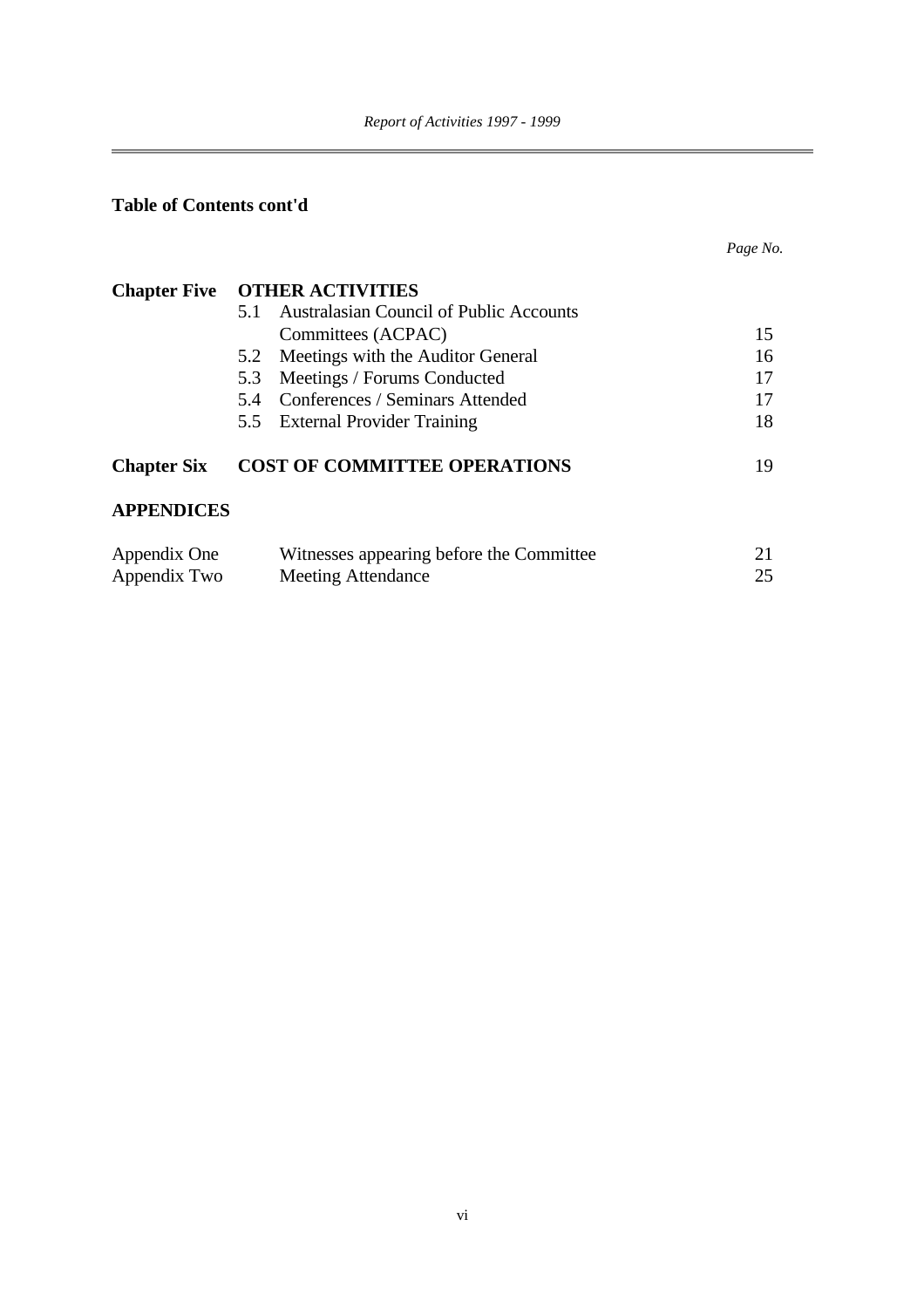## **Table of Contents cont'd**

|                              |                                                                       | Page No. |
|------------------------------|-----------------------------------------------------------------------|----------|
| <b>Chapter Five</b>          | <b>OTHER ACTIVITIES</b>                                               |          |
|                              | Australasian Council of Public Accounts<br>5.1                        |          |
|                              | Committees (ACPAC)                                                    | 15       |
|                              | Meetings with the Auditor General<br>5.2                              | 16       |
|                              | Meetings / Forums Conducted<br>5.3                                    | 17       |
|                              | Conferences / Seminars Attended<br>5.4                                | 17       |
|                              | 5.5 External Provider Training                                        | 18       |
| <b>Chapter Six</b>           | <b>COST OF COMMITTEE OPERATIONS</b>                                   | 19       |
| <b>APPENDICES</b>            |                                                                       |          |
| Appendix One<br>Appendix Two | Witnesses appearing before the Committee<br><b>Meeting Attendance</b> | 21<br>25 |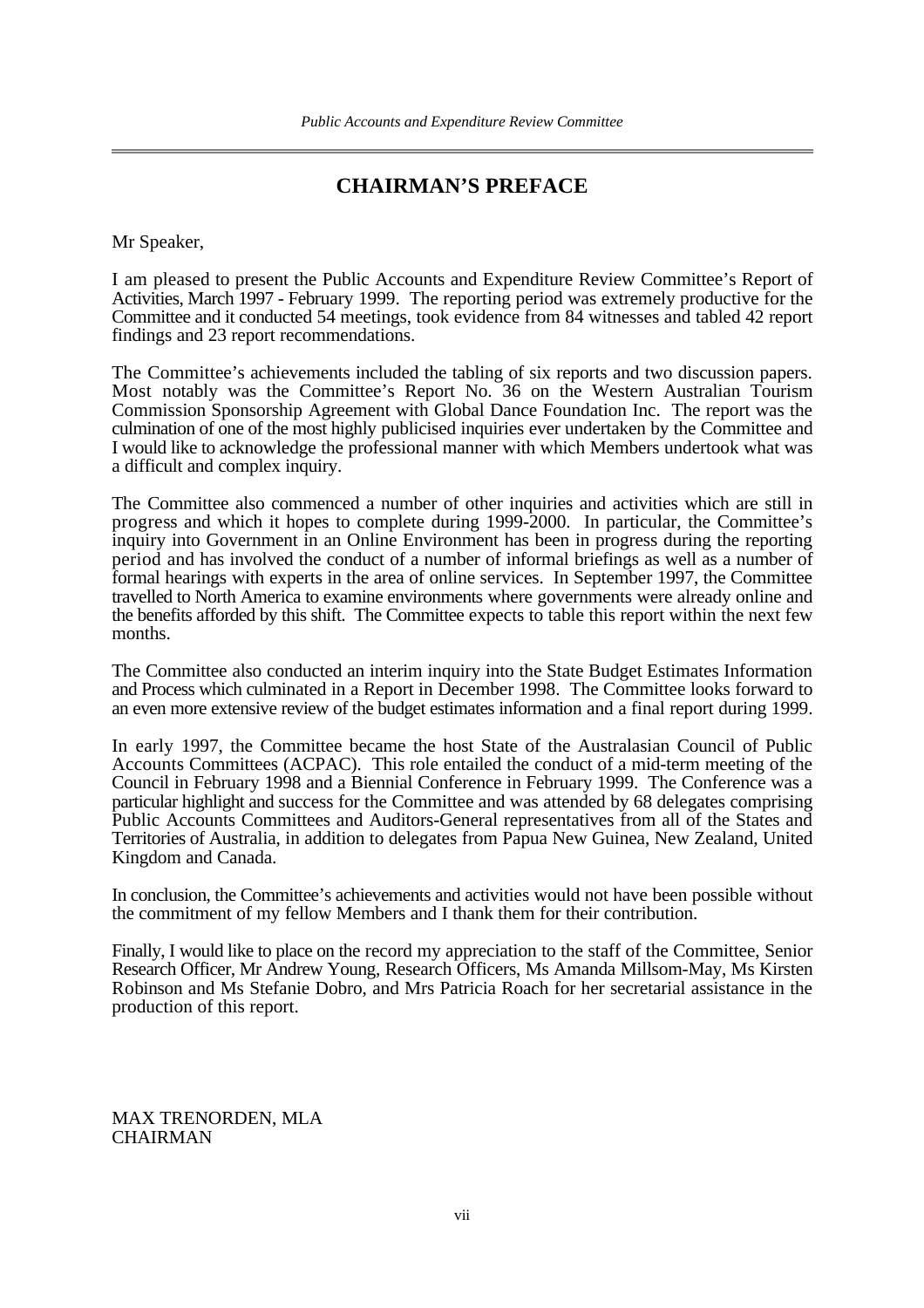## **CHAIRMAN'S PREFACE**

Mr Speaker,

I am pleased to present the Public Accounts and Expenditure Review Committee's Report of Activities, March 1997 - February 1999. The reporting period was extremely productive for the Committee and it conducted 54 meetings, took evidence from 84 witnesses and tabled 42 report findings and 23 report recommendations.

The Committee's achievements included the tabling of six reports and two discussion papers. Most notably was the Committee's Report No. 36 on the Western Australian Tourism Commission Sponsorship Agreement with Global Dance Foundation Inc. The report was the culmination of one of the most highly publicised inquiries ever undertaken by the Committee and I would like to acknowledge the professional manner with which Members undertook what was a difficult and complex inquiry.

The Committee also commenced a number of other inquiries and activities which are still in progress and which it hopes to complete during 1999-2000. In particular, the Committee's inquiry into Government in an Online Environment has been in progress during the reporting period and has involved the conduct of a number of informal briefings as well as a number of formal hearings with experts in the area of online services. In September 1997, the Committee travelled to North America to examine environments where governments were already online and the benefits afforded by this shift. The Committee expects to table this report within the next few months.

The Committee also conducted an interim inquiry into the State Budget Estimates Information and Process which culminated in a Report in December 1998. The Committee looks forward to an even more extensive review of the budget estimates information and a final report during 1999.

In early 1997, the Committee became the host State of the Australasian Council of Public Accounts Committees (ACPAC). This role entailed the conduct of a mid-term meeting of the Council in February 1998 and a Biennial Conference in February 1999. The Conference was a particular highlight and success for the Committee and was attended by 68 delegates comprising Public Accounts Committees and Auditors-General representatives from all of the States and Territories of Australia, in addition to delegates from Papua New Guinea, New Zealand, United Kingdom and Canada.

In conclusion, the Committee's achievements and activities would not have been possible without the commitment of my fellow Members and I thank them for their contribution.

Finally, I would like to place on the record my appreciation to the staff of the Committee, Senior Research Officer, Mr Andrew Young, Research Officers, Ms Amanda Millsom-May, Ms Kirsten Robinson and Ms Stefanie Dobro, and Mrs Patricia Roach for her secretarial assistance in the production of this report.

MAX TRENORDEN, MLA CHAIRMAN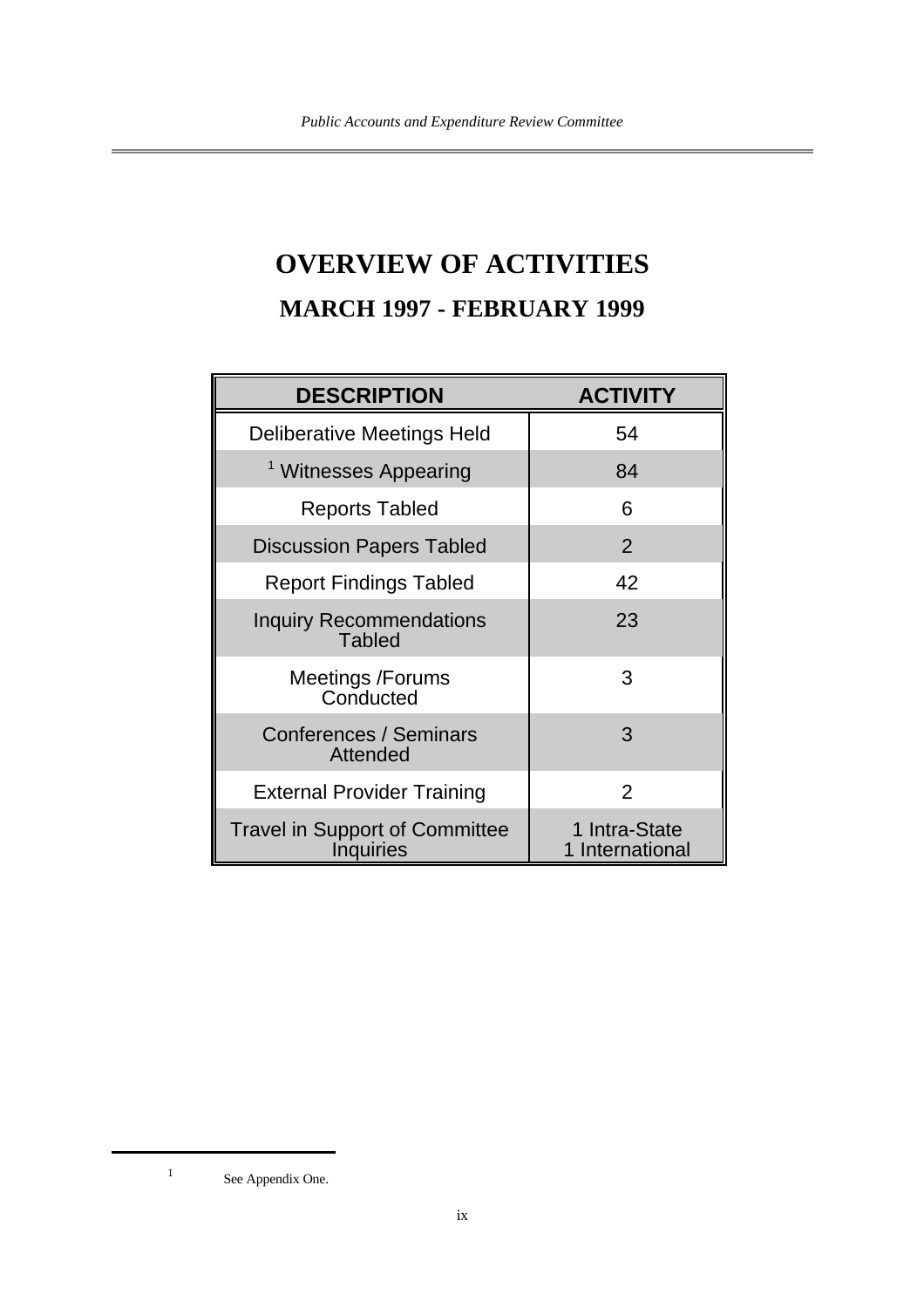## **OVERVIEW OF ACTIVITIES MARCH 1997 - FEBRUARY 1999**

| <b>DESCRIPTION</b>                                        | <b>ACTIVITY</b>                  |
|-----------------------------------------------------------|----------------------------------|
| Deliberative Meetings Held                                | 54                               |
| <sup>1</sup> Witnesses Appearing                          | 84                               |
| Reports Tabled                                            | 6                                |
| <b>Discussion Papers Tabled</b>                           | 2                                |
| <b>Report Findings Tabled</b>                             | 42                               |
| <b>Inquiry Recommendations</b><br><b>Tabled</b>           | 23                               |
| <b>Meetings /Forums</b><br>Conducted                      | 3                                |
| Conferences / Seminars<br>Attended                        | 3                                |
| <b>External Provider Training</b>                         | $\overline{2}$                   |
| <b>Travel in Support of Committee</b><br><b>Inquiries</b> | 1 Intra-State<br>1 International |

<sup>1</sup> See Appendix One.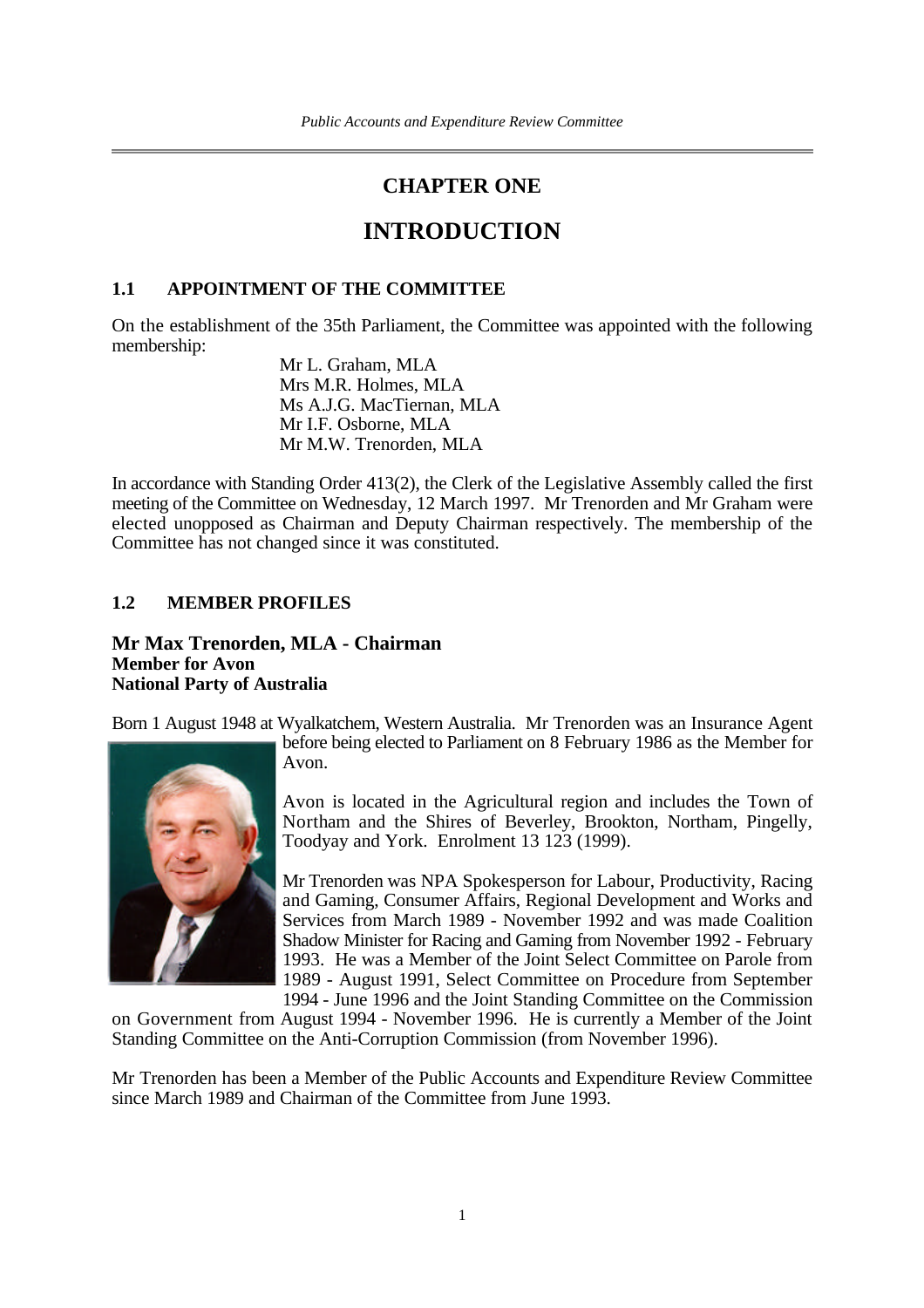## **CHAPTER ONE**

## **INTRODUCTION**

#### **1.1 APPOINTMENT OF THE COMMITTEE**

On the establishment of the 35th Parliament, the Committee was appointed with the following membership:

> Mr L. Graham, MLA Mrs M.R. Holmes, MLA Ms A.J.G. MacTiernan, MLA Mr I.F. Osborne, MLA Mr M.W. Trenorden, MLA

In accordance with Standing Order 413(2), the Clerk of the Legislative Assembly called the first meeting of the Committee on Wednesday, 12 March 1997. Mr Trenorden and Mr Graham were elected unopposed as Chairman and Deputy Chairman respectively. The membership of the Committee has not changed since it was constituted.

#### **1.2 MEMBER PROFILES**

**Mr Max Trenorden, MLA - Chairman Member for Avon National Party of Australia**

Born 1 August 1948 at Wyalkatchem, Western Australia. Mr Trenorden was an Insurance Agent



before being elected to Parliament on 8 February 1986 as the Member for Avon.

Avon is located in the Agricultural region and includes the Town of Northam and the Shires of Beverley, Brookton, Northam, Pingelly, Toodyay and York. Enrolment 13 123 (1999).

Mr Trenorden was NPA Spokesperson for Labour, Productivity, Racing and Gaming, Consumer Affairs, Regional Development and Works and Services from March 1989 - November 1992 and was made Coalition Shadow Minister for Racing and Gaming from November 1992 - February 1993. He was a Member of the Joint Select Committee on Parole from 1989 - August 1991, Select Committee on Procedure from September 1994 - June 1996 and the Joint Standing Committee on the Commission

on Government from August 1994 - November 1996. He is currently a Member of the Joint Standing Committee on the Anti-Corruption Commission (from November 1996).

Mr Trenorden has been a Member of the Public Accounts and Expenditure Review Committee since March 1989 and Chairman of the Committee from June 1993.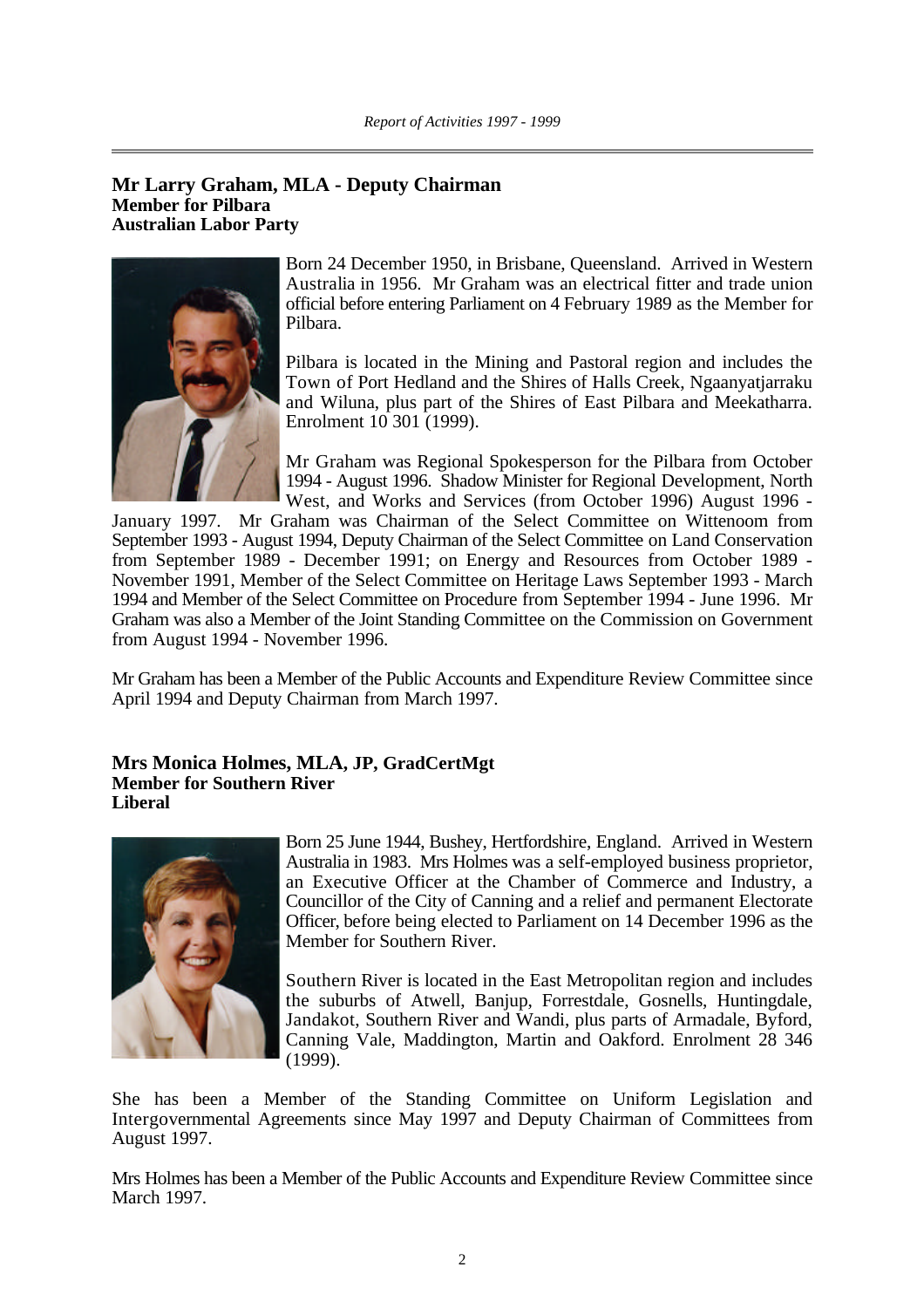#### **Mr Larry Graham, MLA - Deputy Chairman Member for Pilbara Australian Labor Party**



Born 24 December 1950, in Brisbane, Queensland. Arrived in Western Australia in 1956. Mr Graham was an electrical fitter and trade union official before entering Parliament on 4 February 1989 as the Member for Pilbara.

Pilbara is located in the Mining and Pastoral region and includes the Town of Port Hedland and the Shires of Halls Creek, Ngaanyatjarraku and Wiluna, plus part of the Shires of East Pilbara and Meekatharra. Enrolment 10 301 (1999).

Mr Graham was Regional Spokesperson for the Pilbara from October 1994 - August 1996. Shadow Minister for Regional Development, North West, and Works and Services (from October 1996) August 1996 -

January 1997. Mr Graham was Chairman of the Select Committee on Wittenoom from September 1993 - August 1994, Deputy Chairman of the Select Committee on Land Conservation from September 1989 - December 1991; on Energy and Resources from October 1989 - November 1991, Member of the Select Committee on Heritage Laws September 1993 - March 1994 and Member of the Select Committee on Procedure from September 1994 - June 1996. Mr Graham was also a Member of the Joint Standing Committee on the Commission on Government from August 1994 - November 1996.

Mr Graham has been a Member of the Public Accounts and Expenditure Review Committee since April 1994 and Deputy Chairman from March 1997.

#### **Mrs Monica Holmes, MLA, JP, GradCertMgt Member for Southern River Liberal**



Born 25 June 1944, Bushey, Hertfordshire, England. Arrived in Western Australia in 1983. Mrs Holmes was a self-employed business proprietor, an Executive Officer at the Chamber of Commerce and Industry, a Councillor of the City of Canning and a relief and permanent Electorate Officer, before being elected to Parliament on 14 December 1996 as the Member for Southern River.

Southern River is located in the East Metropolitan region and includes the suburbs of Atwell, Banjup, Forrestdale, Gosnells, Huntingdale, Jandakot, Southern River and Wandi, plus parts of Armadale, Byford, Canning Vale, Maddington, Martin and Oakford. Enrolment 28 346 (1999).

She has been a Member of the Standing Committee on Uniform Legislation and Intergovernmental Agreements since May 1997 and Deputy Chairman of Committees from August 1997.

Mrs Holmes has been a Member of the Public Accounts and Expenditure Review Committee since March 1997.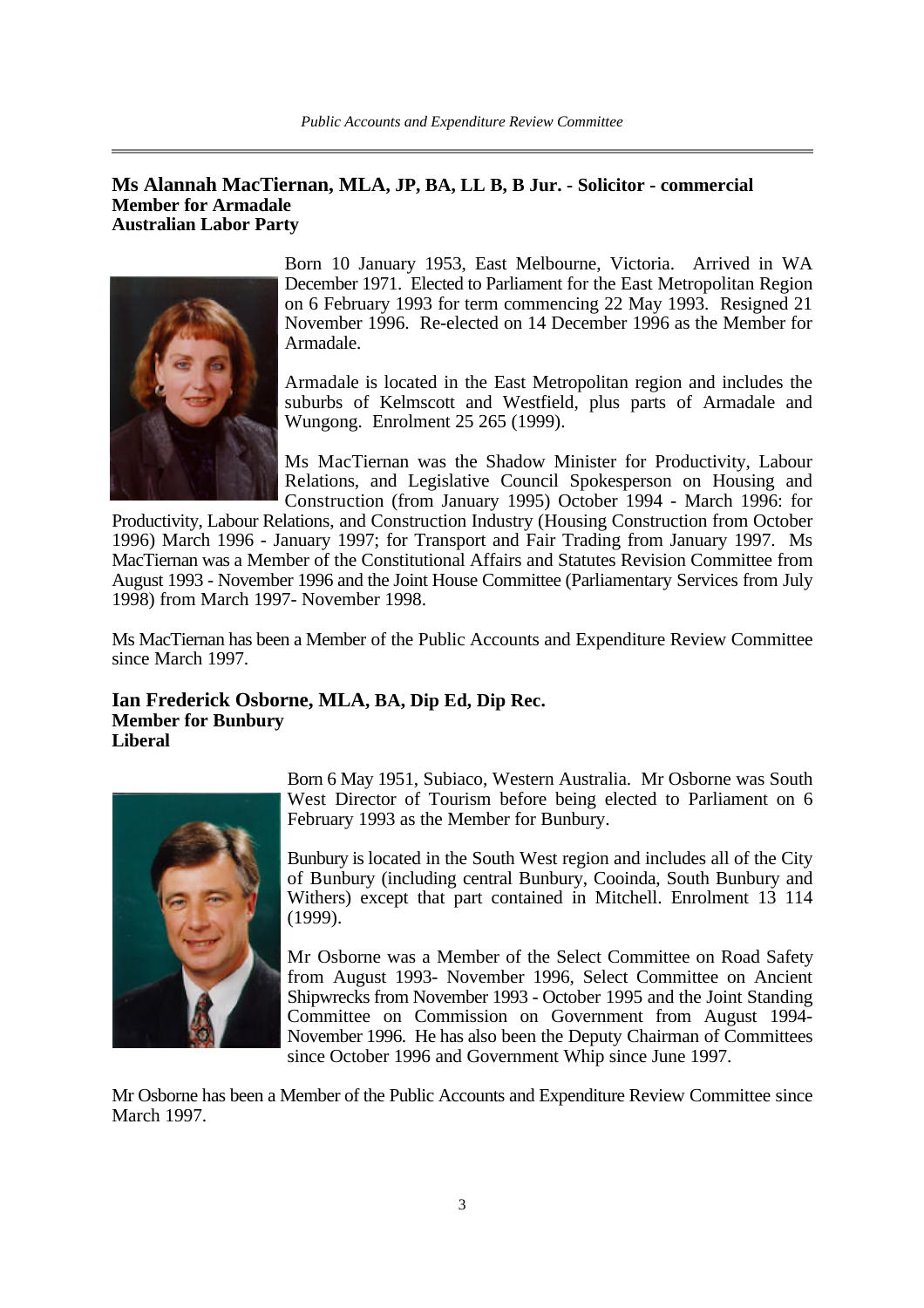#### **Ms Alannah MacTiernan, MLA, JP, BA, LL B, B Jur. - Solicitor - commercial Member for Armadale Australian Labor Party**



Born 10 January 1953, East Melbourne, Victoria. Arrived in WA December 1971. Elected to Parliament for the East Metropolitan Region on 6 February 1993 for term commencing 22 May 1993. Resigned 21 November 1996. Re-elected on 14 December 1996 as the Member for Armadale.

Armadale is located in the East Metropolitan region and includes the suburbs of Kelmscott and Westfield, plus parts of Armadale and Wungong. Enrolment 25 265 (1999).

Ms MacTiernan was the Shadow Minister for Productivity, Labour Relations, and Legislative Council Spokesperson on Housing and Construction (from January 1995) October 1994 - March 1996: for

Productivity, Labour Relations, and Construction Industry (Housing Construction from October 1996) March 1996 - January 1997; for Transport and Fair Trading from January 1997. Ms MacTiernan was a Member of the Constitutional Affairs and Statutes Revision Committee from August 1993 - November 1996 and the Joint House Committee (Parliamentary Services from July 1998) from March 1997- November 1998.

Ms MacTiernan has been a Member of the Public Accounts and Expenditure Review Committee since March 1997.

#### **Ian Frederick Osborne, MLA, BA, Dip Ed, Dip Rec. Member for Bunbury Liberal**



Born 6 May 1951, Subiaco, Western Australia. Mr Osborne was South West Director of Tourism before being elected to Parliament on 6 February 1993 as the Member for Bunbury.

Bunbury is located in the South West region and includes all of the City of Bunbury (including central Bunbury, Cooinda, South Bunbury and Withers) except that part contained in Mitchell. Enrolment 13 114 (1999).

Mr Osborne was a Member of the Select Committee on Road Safety from August 1993- November 1996, Select Committee on Ancient Shipwrecks from November 1993 - October 1995 and the Joint Standing Committee on Commission on Government from August 1994- November 1996. He has also been the Deputy Chairman of Committees since October 1996 and Government Whip since June 1997.

Mr Osborne has been a Member of the Public Accounts and Expenditure Review Committee since March 1997.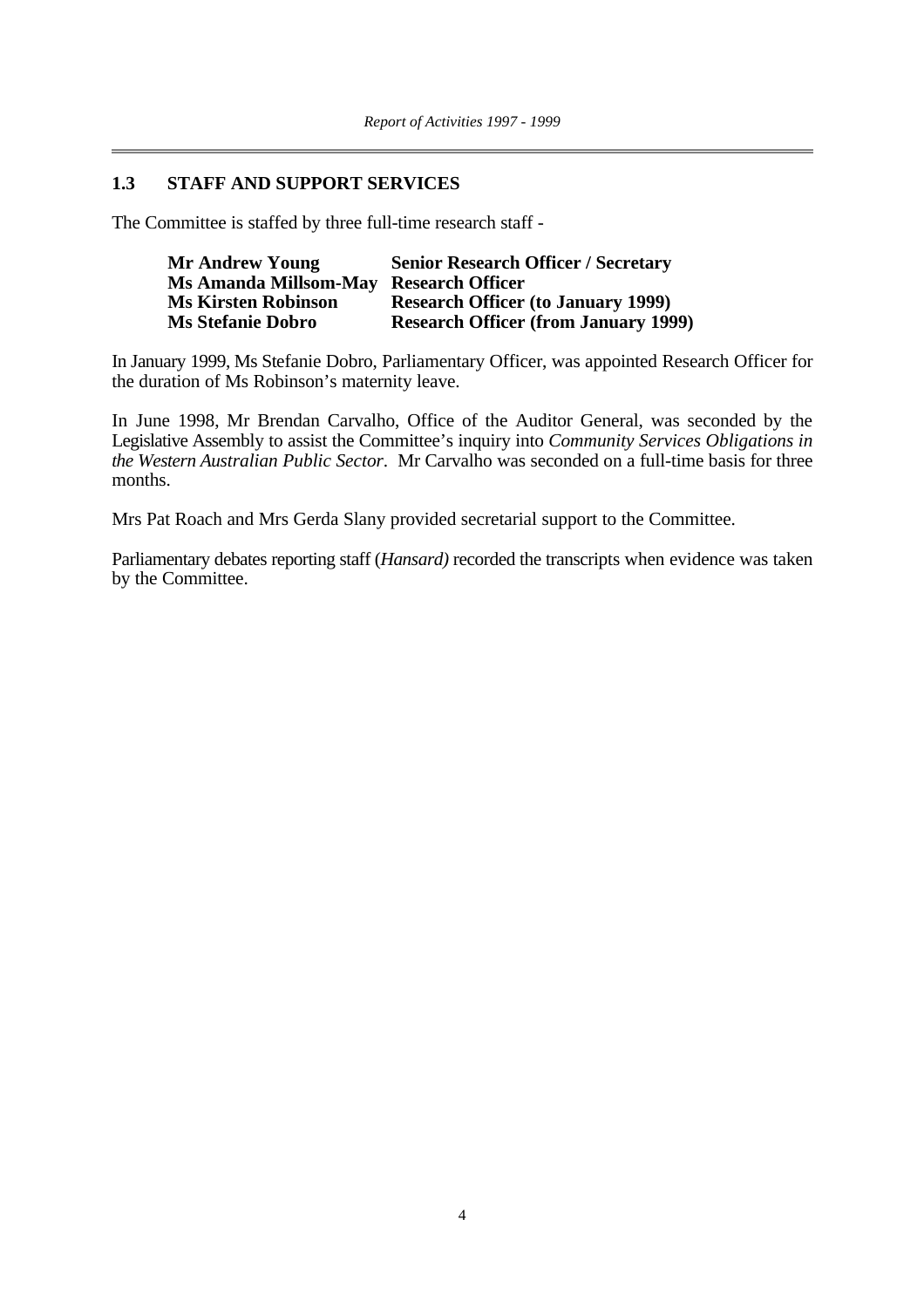#### **1.3 STAFF AND SUPPORT SERVICES**

The Committee is staffed by three full-time research staff -

| <b>Mr Andrew Young</b>                 | <b>Senior Research Officer / Secretary</b>  |
|----------------------------------------|---------------------------------------------|
| Ms Amanda Millsom-May Research Officer |                                             |
| <b>Ms Kirsten Robinson</b>             | <b>Research Officer (to January 1999)</b>   |
| <b>Ms Stefanie Dobro</b>               | <b>Research Officer (from January 1999)</b> |

In January 1999, Ms Stefanie Dobro, Parliamentary Officer, was appointed Research Officer for the duration of Ms Robinson's maternity leave.

In June 1998, Mr Brendan Carvalho, Office of the Auditor General, was seconded by the Legislative Assembly to assist the Committee's inquiry into *Community Services Obligations in the Western Australian Public Sector*. Mr Carvalho was seconded on a full-time basis for three months.

Mrs Pat Roach and Mrs Gerda Slany provided secretarial support to the Committee.

Parliamentary debates reporting staff (*Hansard)* recorded the transcripts when evidence was taken by the Committee.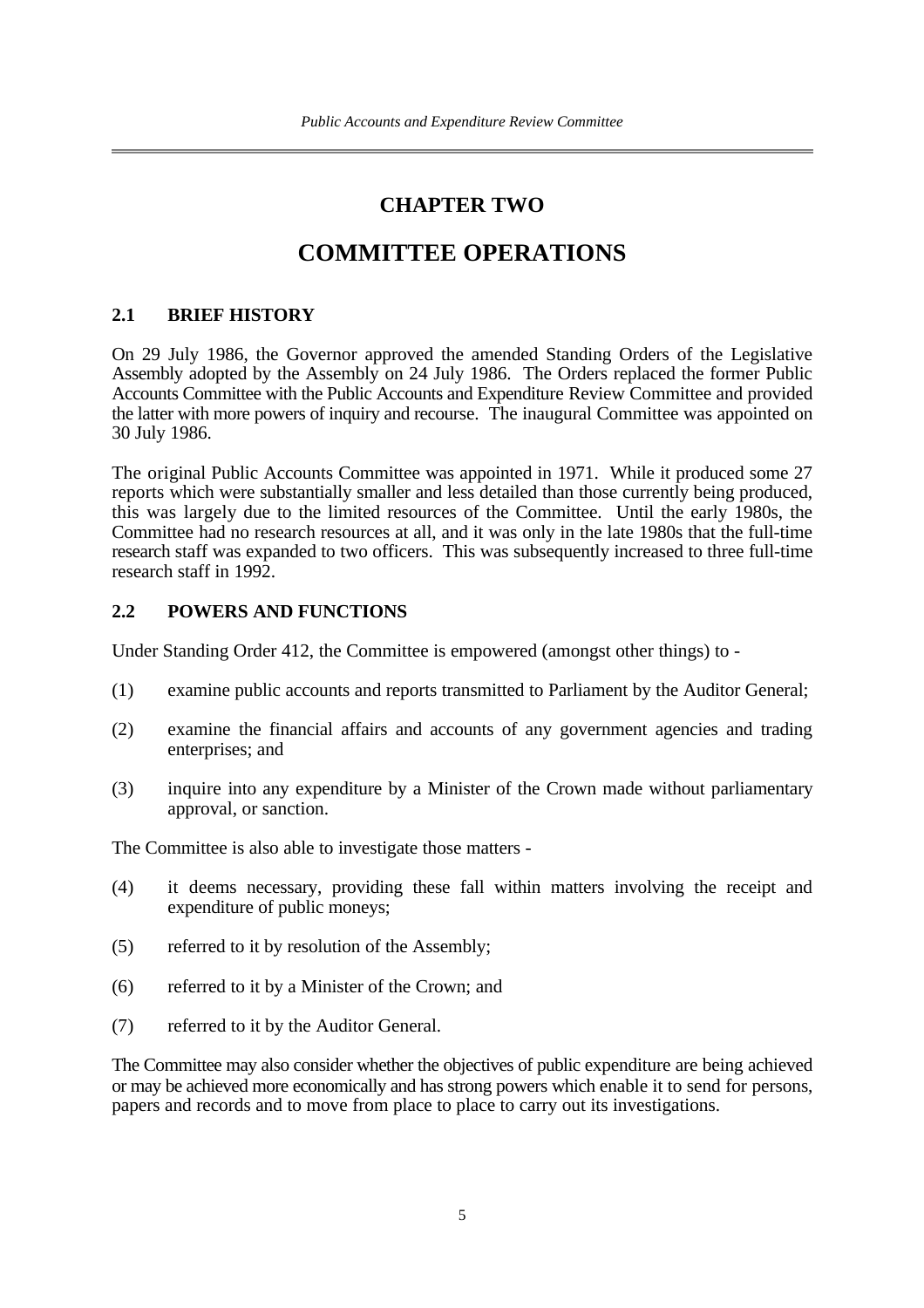### **CHAPTER TWO**

## **COMMITTEE OPERATIONS**

#### **2.1 BRIEF HISTORY**

On 29 July 1986, the Governor approved the amended Standing Orders of the Legislative Assembly adopted by the Assembly on 24 July 1986. The Orders replaced the former Public Accounts Committee with the Public Accounts and Expenditure Review Committee and provided the latter with more powers of inquiry and recourse. The inaugural Committee was appointed on 30 July 1986.

The original Public Accounts Committee was appointed in 1971. While it produced some 27 reports which were substantially smaller and less detailed than those currently being produced, this was largely due to the limited resources of the Committee. Until the early 1980s, the Committee had no research resources at all, and it was only in the late 1980s that the full-time research staff was expanded to two officers. This was subsequently increased to three full-time research staff in 1992.

#### **2.2 POWERS AND FUNCTIONS**

Under Standing Order 412, the Committee is empowered (amongst other things) to -

- (1) examine public accounts and reports transmitted to Parliament by the Auditor General;
- (2) examine the financial affairs and accounts of any government agencies and trading enterprises; and
- (3) inquire into any expenditure by a Minister of the Crown made without parliamentary approval, or sanction.

The Committee is also able to investigate those matters -

- (4) it deems necessary, providing these fall within matters involving the receipt and expenditure of public moneys;
- (5) referred to it by resolution of the Assembly;
- (6) referred to it by a Minister of the Crown; and
- (7) referred to it by the Auditor General.

The Committee may also consider whether the objectives of public expenditure are being achieved or may be achieved more economically and has strong powers which enable it to send for persons, papers and records and to move from place to place to carry out its investigations.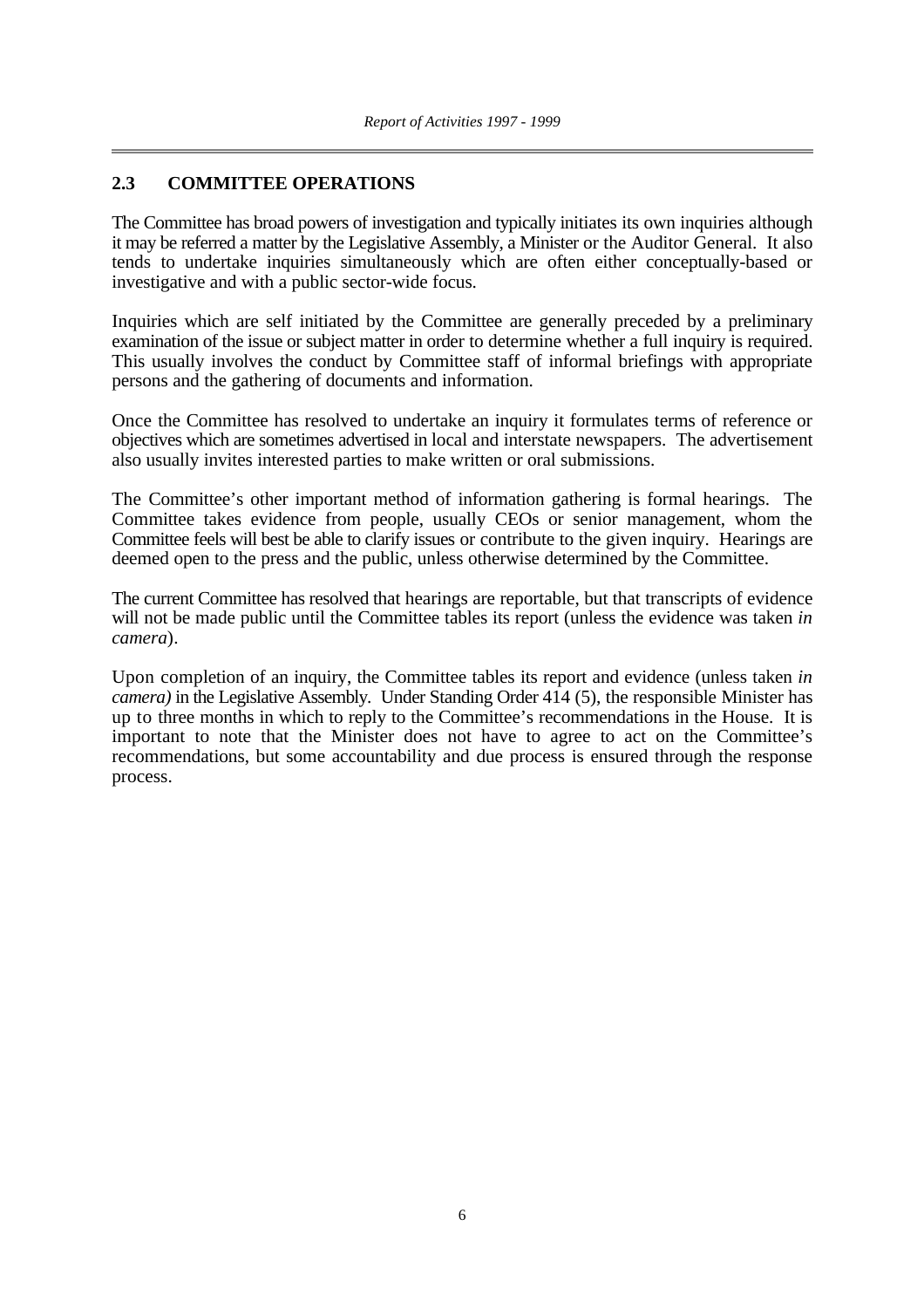#### **2.3 COMMITTEE OPERATIONS**

The Committee has broad powers of investigation and typically initiates its own inquiries although it may be referred a matter by the Legislative Assembly, a Minister or the Auditor General. It also tends to undertake inquiries simultaneously which are often either conceptually-based or investigative and with a public sector-wide focus.

Inquiries which are self initiated by the Committee are generally preceded by a preliminary examination of the issue or subject matter in order to determine whether a full inquiry is required. This usually involves the conduct by Committee staff of informal briefings with appropriate persons and the gathering of documents and information.

Once the Committee has resolved to undertake an inquiry it formulates terms of reference or objectives which are sometimes advertised in local and interstate newspapers. The advertisement also usually invites interested parties to make written or oral submissions.

The Committee's other important method of information gathering is formal hearings. The Committee takes evidence from people, usually CEOs or senior management, whom the Committee feels will best be able to clarify issues or contribute to the given inquiry. Hearings are deemed open to the press and the public, unless otherwise determined by the Committee.

The current Committee has resolved that hearings are reportable, but that transcripts of evidence will not be made public until the Committee tables its report (unless the evidence was taken *in camera*).

Upon completion of an inquiry, the Committee tables its report and evidence (unless taken *in camera)* in the Legislative Assembly*.* Under Standing Order 414 (5), the responsible Minister has up to three months in which to reply to the Committee's recommendations in the House. It is important to note that the Minister does not have to agree to act on the Committee's recommendations, but some accountability and due process is ensured through the response process.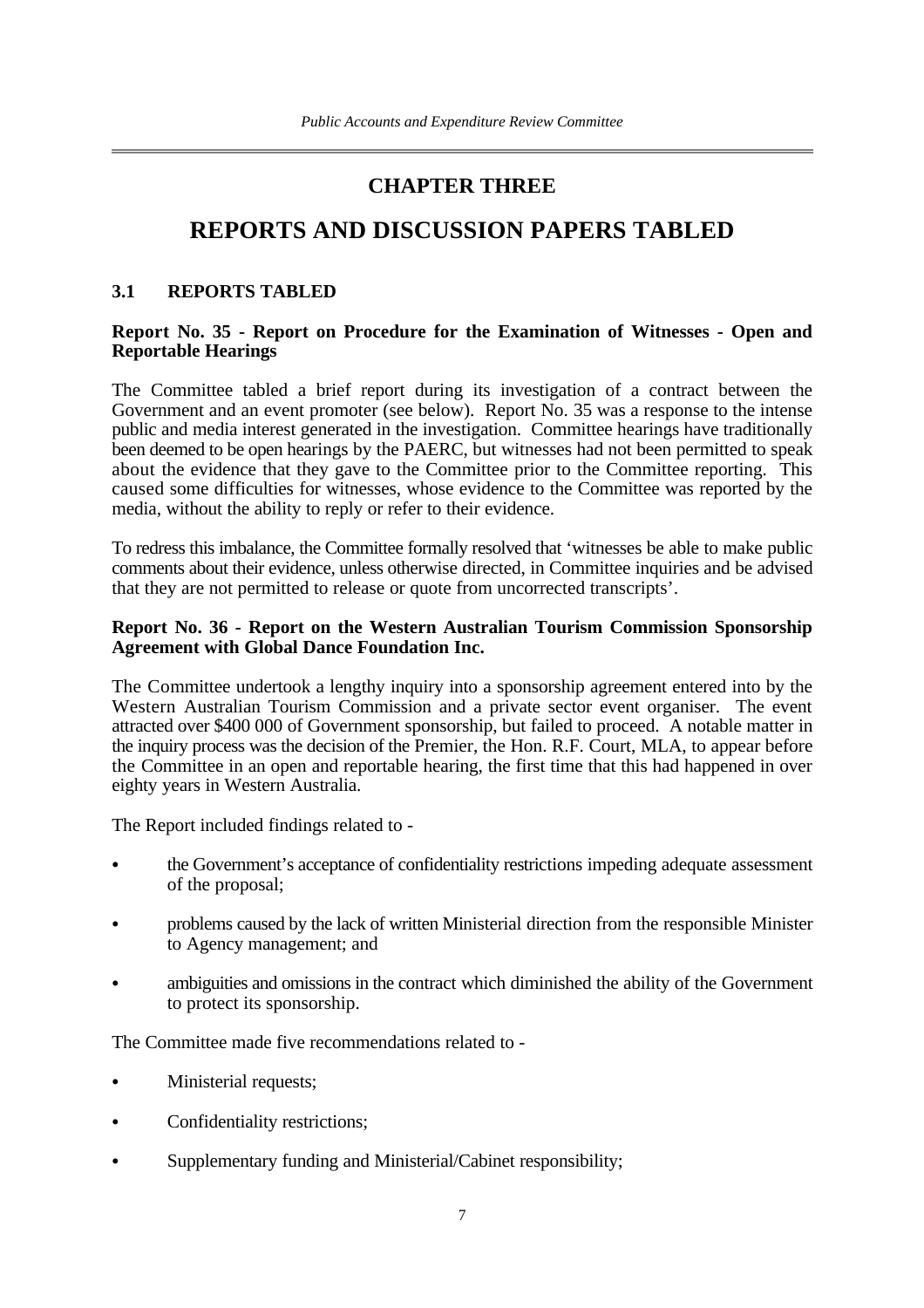## **CHAPTER THREE**

## **REPORTS AND DISCUSSION PAPERS TABLED**

#### **3.1 REPORTS TABLED**

#### **Report No. 35 - Report on Procedure for the Examination of Witnesses - Open and Reportable Hearings**

The Committee tabled a brief report during its investigation of a contract between the Government and an event promoter (see below). Report No. 35 was a response to the intense public and media interest generated in the investigation. Committee hearings have traditionally been deemed to be open hearings by the PAERC, but witnesses had not been permitted to speak about the evidence that they gave to the Committee prior to the Committee reporting. This caused some difficulties for witnesses, whose evidence to the Committee was reported by the media, without the ability to reply or refer to their evidence.

To redress this imbalance, the Committee formally resolved that 'witnesses be able to make public comments about their evidence, unless otherwise directed, in Committee inquiries and be advised that they are not permitted to release or quote from uncorrected transcripts'.

#### **Report No. 36** *-* **Report on the Western Australian Tourism Commission Sponsorship Agreement with Global Dance Foundation Inc.**

The Committee undertook a lengthy inquiry into a sponsorship agreement entered into by the Western Australian Tourism Commission and a private sector event organiser. The event attracted over \$400 000 of Government sponsorship, but failed to proceed. A notable matter in the inquiry process was the decision of the Premier, the Hon. R.F. Court, MLA, to appear before the Committee in an open and reportable hearing, the first time that this had happened in over eighty years in Western Australia.

The Report included findings related to -

- the Government's acceptance of confidentiality restrictions impeding adequate assessment of the proposal;
- problems caused by the lack of written Ministerial direction from the responsible Minister to Agency management; and
- ambiguities and omissions in the contract which diminished the ability of the Government to protect its sponsorship.

The Committee made five recommendations related to -

- Ministerial requests;
- Confidentiality restrictions;
- Supplementary funding and Ministerial/Cabinet responsibility;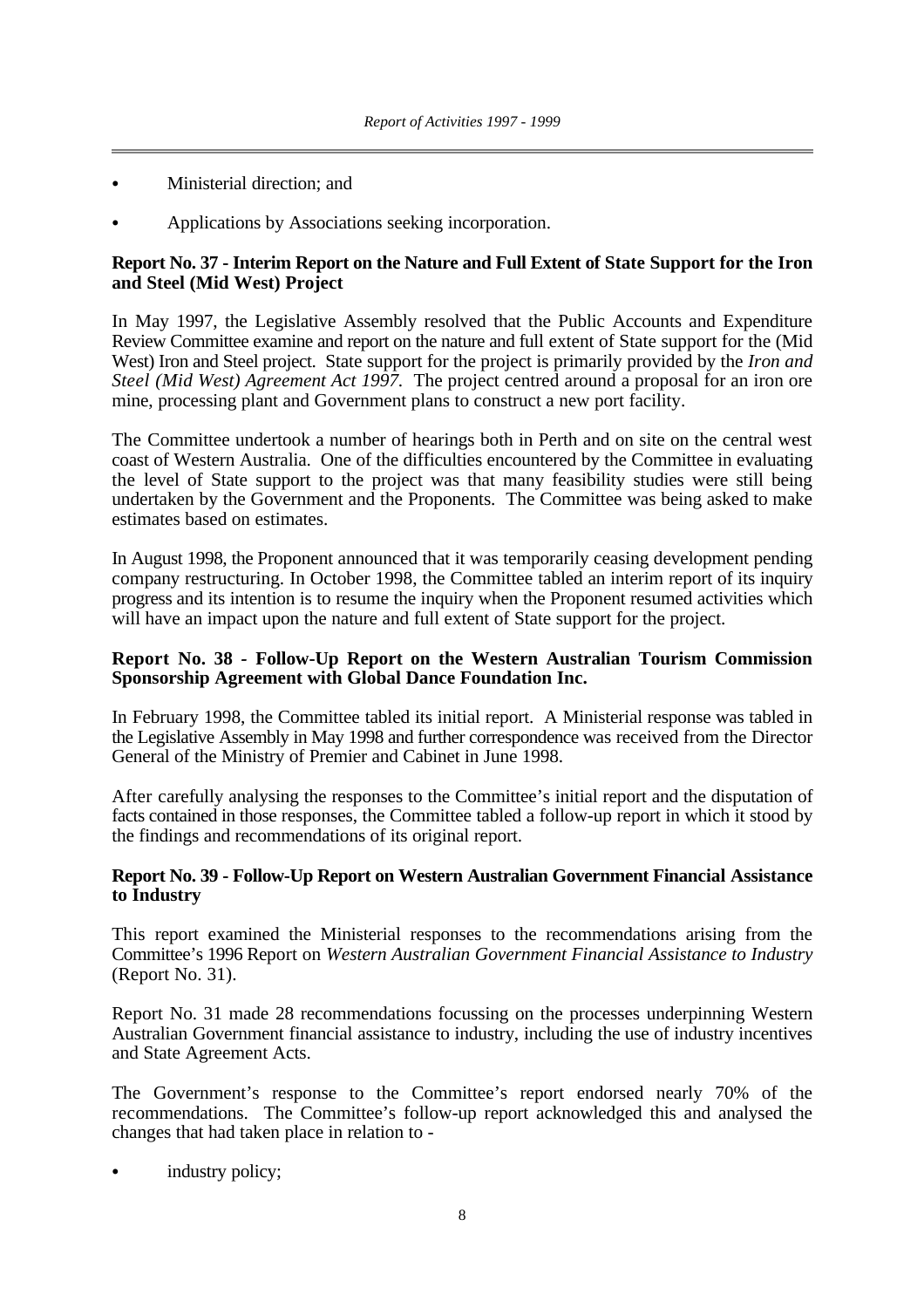- Ministerial direction; and
- Applications by Associations seeking incorporation.

#### **Report No. 37 - Interim Report on the Nature and Full Extent of State Support for the Iron and Steel (Mid West) Project**

In May 1997, the Legislative Assembly resolved that the Public Accounts and Expenditure Review Committee examine and report on the nature and full extent of State support for the (Mid West) Iron and Steel project. State support for the project is primarily provided by the *Iron and Steel (Mid West) Agreement Act 1997.* The project centred around a proposal for an iron ore mine, processing plant and Government plans to construct a new port facility.

The Committee undertook a number of hearings both in Perth and on site on the central west coast of Western Australia. One of the difficulties encountered by the Committee in evaluating the level of State support to the project was that many feasibility studies were still being undertaken by the Government and the Proponents. The Committee was being asked to make estimates based on estimates.

In August 1998, the Proponent announced that it was temporarily ceasing development pending company restructuring. In October 1998, the Committee tabled an interim report of its inquiry progress and its intention is to resume the inquiry when the Proponent resumed activities which will have an impact upon the nature and full extent of State support for the project.

#### **Report No. 38** *-* **Follow-Up Report on the Western Australian Tourism Commission Sponsorship Agreement with Global Dance Foundation Inc.**

In February 1998, the Committee tabled its initial report. A Ministerial response was tabled in the Legislative Assembly in May 1998 and further correspondence was received from the Director General of the Ministry of Premier and Cabinet in June 1998.

After carefully analysing the responses to the Committee's initial report and the disputation of facts contained in those responses, the Committee tabled a follow-up report in which it stood by the findings and recommendations of its original report.

#### **Report No. 39 - Follow-Up Report on Western Australian Government Financial Assistance to Industry**

This report examined the Ministerial responses to the recommendations arising from the Committee's 1996 Report on *Western Australian Government Financial Assistance to Industry* (Report No. 31).

Report No. 31 made 28 recommendations focussing on the processes underpinning Western Australian Government financial assistance to industry, including the use of industry incentives and State Agreement Acts.

The Government's response to the Committee's report endorsed nearly 70% of the recommendations. The Committee's follow-up report acknowledged this and analysed the changes that had taken place in relation to -

industry policy;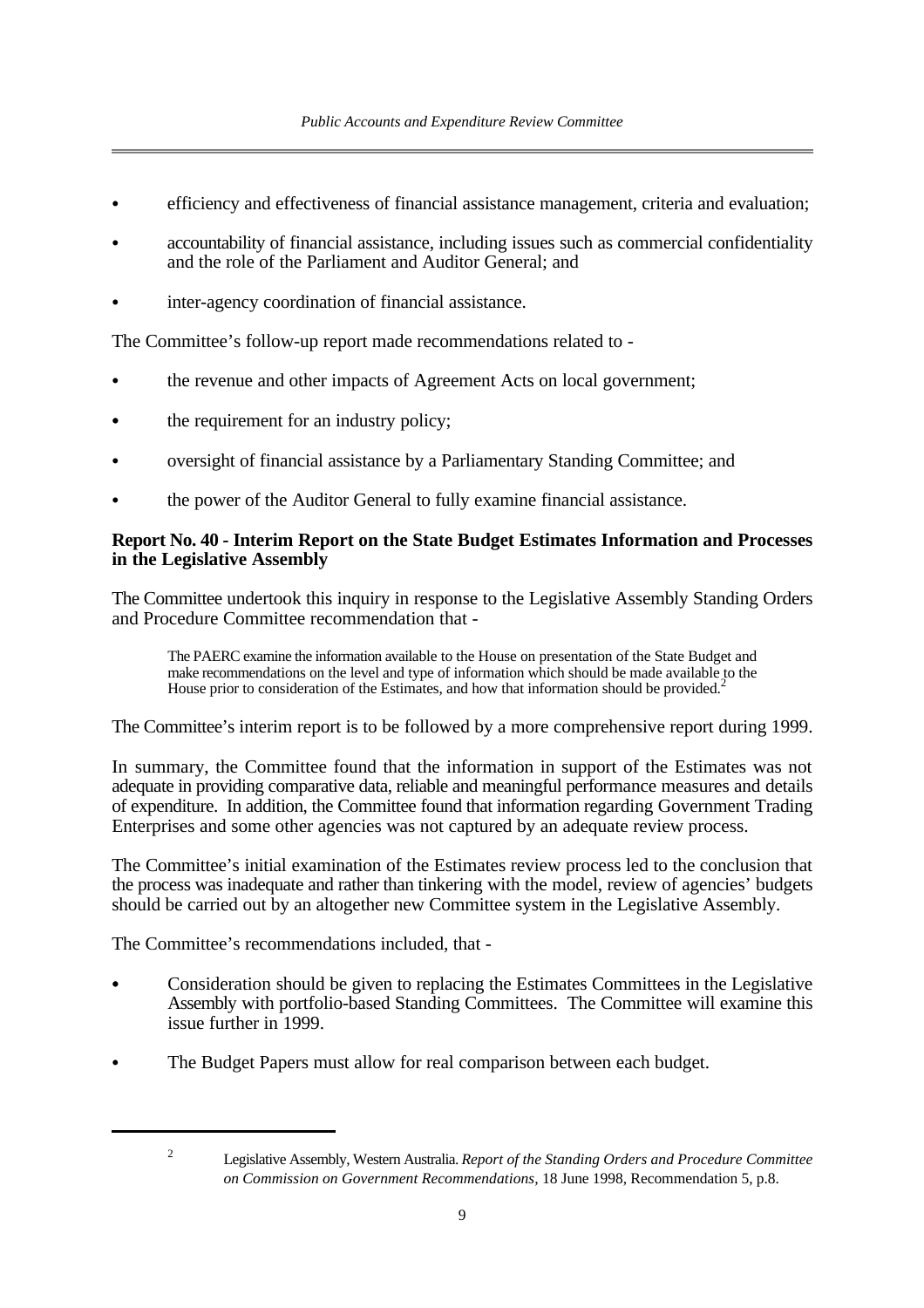- efficiency and effectiveness of financial assistance management, criteria and evaluation;
- accountability of financial assistance, including issues such as commercial confidentiality and the role of the Parliament and Auditor General; and
- inter-agency coordination of financial assistance.

The Committee's follow-up report made recommendations related to -

- the revenue and other impacts of Agreement Acts on local government;
- the requirement for an industry policy;
- oversight of financial assistance by a Parliamentary Standing Committee; and
- the power of the Auditor General to fully examine financial assistance.

#### **Report No. 40** *-* **Interim Report on the State Budget Estimates Information and Processes in the Legislative Assembly**

The Committee undertook this inquiry in response to the Legislative Assembly Standing Orders and Procedure Committee recommendation that -

The PAERC examine the information available to the House on presentation of the State Budget and make recommendations on the level and type of information which should be made available to the House prior to consideration of the Estimates, and how that information should be provided.<sup>2</sup>

The Committee's interim report is to be followed by a more comprehensive report during 1999.

In summary, the Committee found that the information in support of the Estimates was not adequate in providing comparative data, reliable and meaningful performance measures and details of expenditure. In addition, the Committee found that information regarding Government Trading Enterprises and some other agencies was not captured by an adequate review process.

The Committee's initial examination of the Estimates review process led to the conclusion that the process was inadequate and rather than tinkering with the model, review of agencies' budgets should be carried out by an altogether new Committee system in the Legislative Assembly.

The Committee's recommendations included, that -

- Consideration should be given to replacing the Estimates Committees in the Legislative Assembly with portfolio-based Standing Committees. The Committee will examine this issue further in 1999.
- The Budget Papers must allow for real comparison between each budget.

Legislative Assembly, Western Australia. *Report of the Standing Orders and Procedure Committee* <sup>2</sup> *on Commission on Government Recommendations,* 18 June 1998, Recommendation 5, p.8.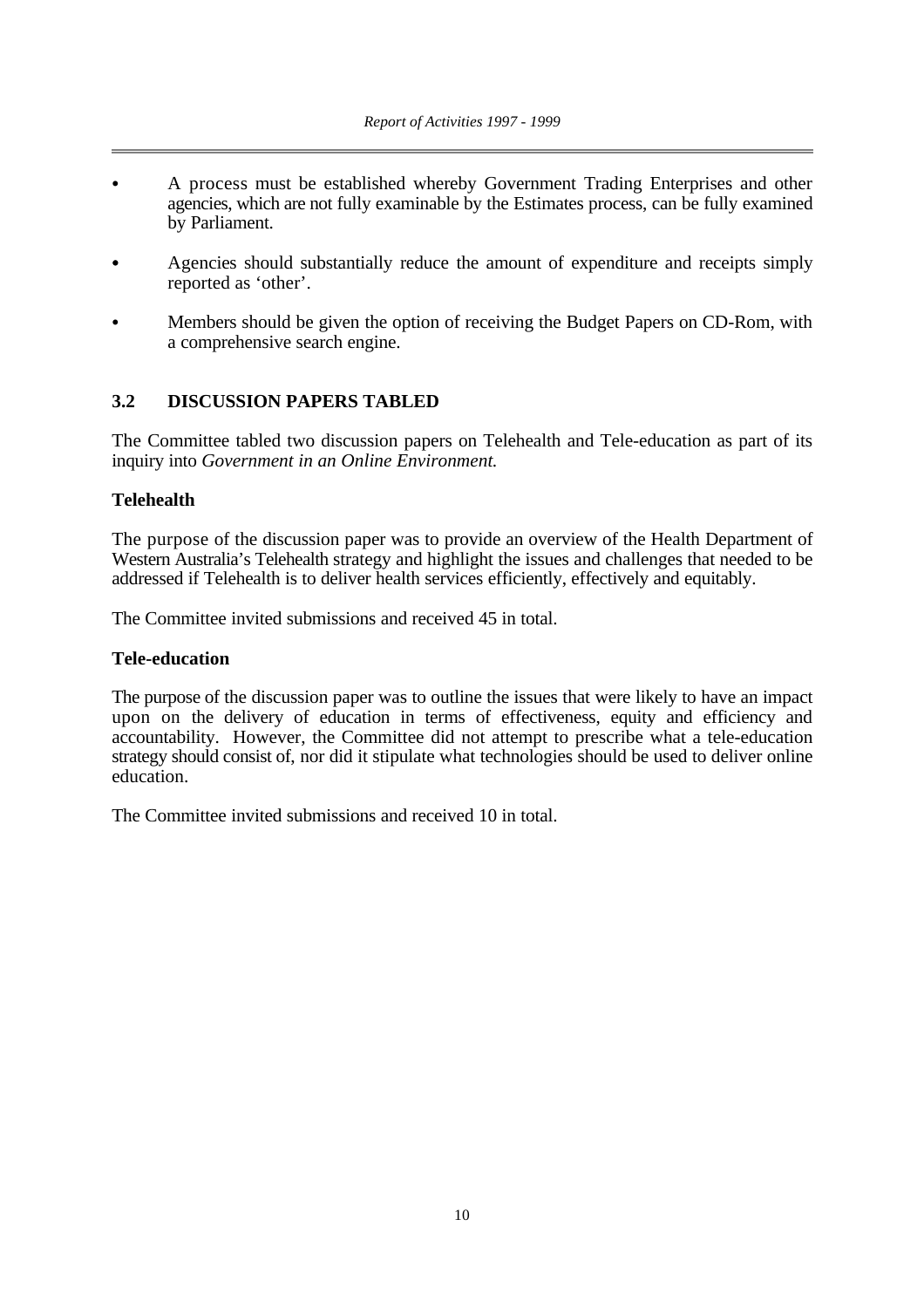- A process must be established whereby Government Trading Enterprises and other agencies, which are not fully examinable by the Estimates process, can be fully examined by Parliament.
- Agencies should substantially reduce the amount of expenditure and receipts simply reported as 'other'.
- C Members should be given the option of receiving the Budget Papers on CD-Rom, with a comprehensive search engine.

#### **3.2 DISCUSSION PAPERS TABLED**

The Committee tabled two discussion papers on Telehealth and Tele-education as part of its inquiry into *Government in an Online Environment.*

#### **Telehealth**

The purpose of the discussion paper was to provide an overview of the Health Department of Western Australia's Telehealth strategy and highlight the issues and challenges that needed to be addressed if Telehealth is to deliver health services efficiently, effectively and equitably.

The Committee invited submissions and received 45 in total.

#### **Tele-education**

The purpose of the discussion paper was to outline the issues that were likely to have an impact upon on the delivery of education in terms of effectiveness, equity and efficiency and accountability. However, the Committee did not attempt to prescribe what a tele-education strategy should consist of, nor did it stipulate what technologies should be used to deliver online education.

The Committee invited submissions and received 10 in total.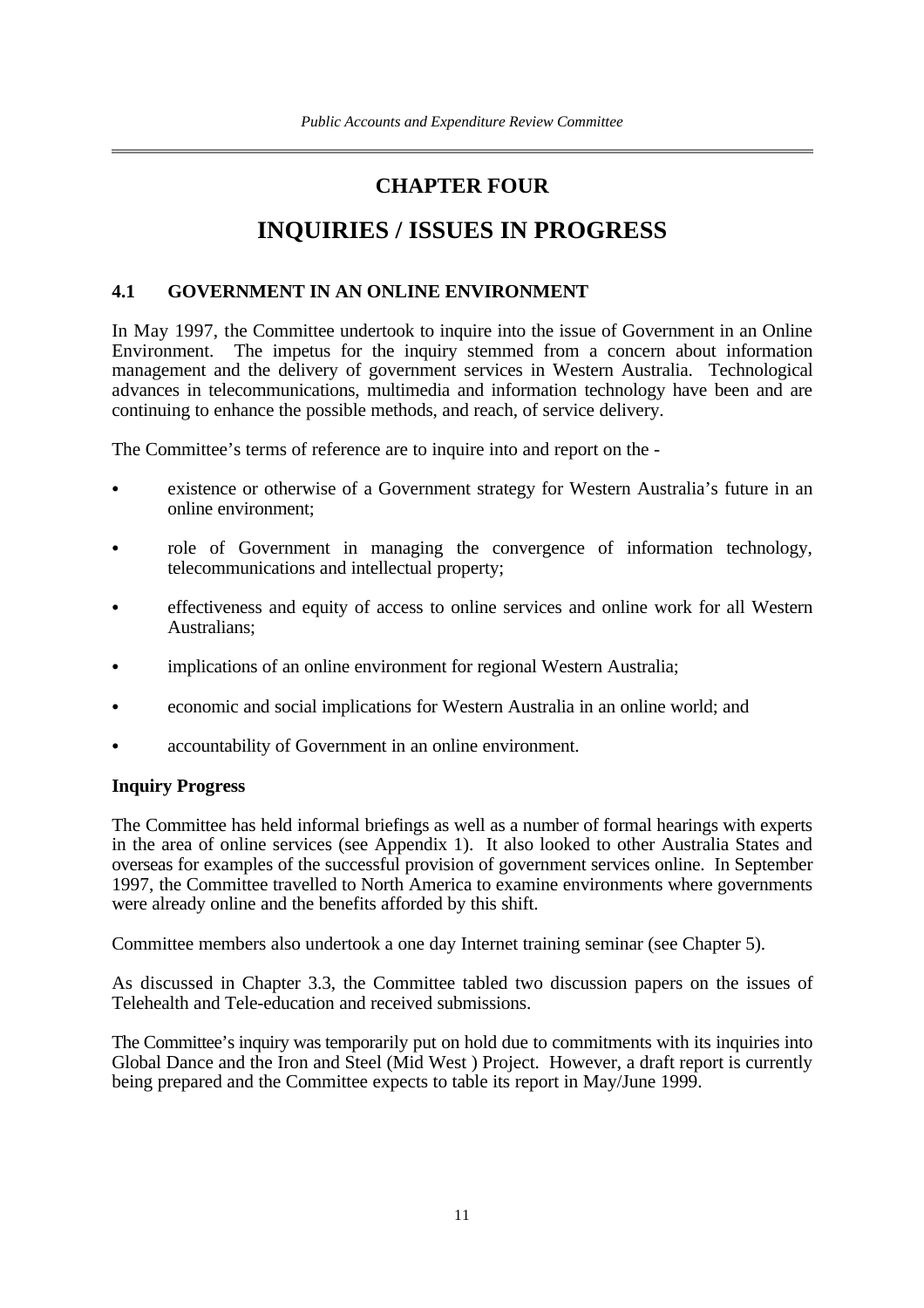## **CHAPTER FOUR**

## **INQUIRIES / ISSUES IN PROGRESS**

#### **4.1 GOVERNMENT IN AN ONLINE ENVIRONMENT**

In May 1997, the Committee undertook to inquire into the issue of Government in an Online<br>Environment. The impetus for the inquiry stemmed from a concern about information The impetus for the inquiry stemmed from a concern about information management and the delivery of government services in Western Australia. Technological advances in telecommunications, multimedia and information technology have been and are continuing to enhance the possible methods, and reach, of service delivery.

The Committee's terms of reference are to inquire into and report on the -

- existence or otherwise of a Government strategy for Western Australia's future in an online environment;
- role of Government in managing the convergence of information technology, telecommunications and intellectual property;
- effectiveness and equity of access to online services and online work for all Western Australians;
- implications of an online environment for regional Western Australia;
- economic and social implications for Western Australia in an online world; and
- accountability of Government in an online environment.

#### **Inquiry Progress**

The Committee has held informal briefings as well as a number of formal hearings with experts in the area of online services (see Appendix 1). It also looked to other Australia States and overseas for examples of the successful provision of government services online. In September 1997, the Committee travelled to North America to examine environments where governments were already online and the benefits afforded by this shift.

Committee members also undertook a one day Internet training seminar (see Chapter 5).

As discussed in Chapter 3.3, the Committee tabled two discussion papers on the issues of Telehealth and Tele-education and received submissions.

The Committee's inquiry was temporarily put on hold due to commitments with its inquiries into Global Dance and the Iron and Steel (Mid West ) Project. However, a draft report is currently being prepared and the Committee expects to table its report in May/June 1999.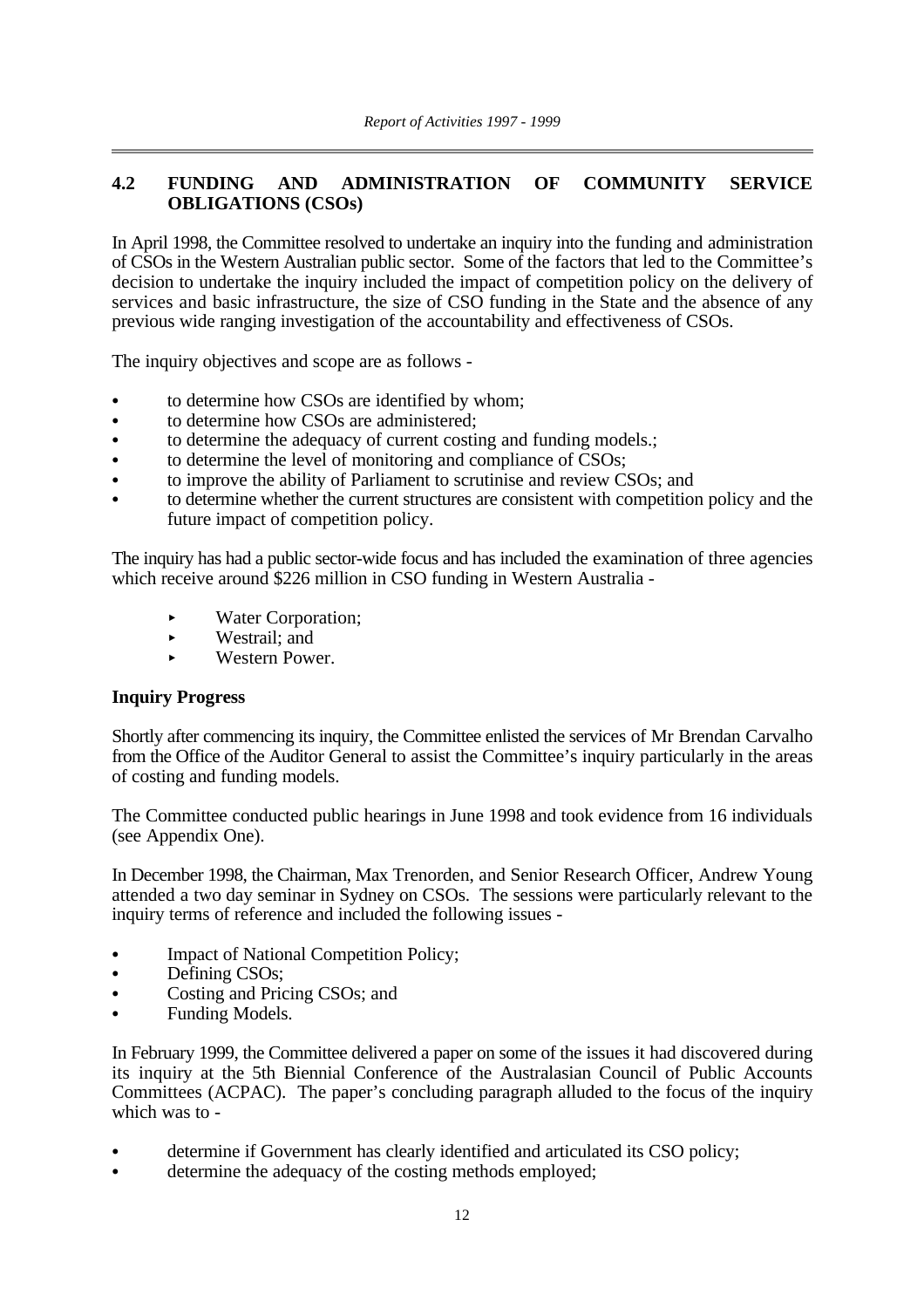#### **4.2 FUNDING AND ADMINISTRATION OF COMMUNITY SERVICE OBLIGATIONS (CSOs)**

In April 1998, the Committee resolved to undertake an inquiry into the funding and administration of CSOs in the Western Australian public sector. Some of the factors that led to the Committee's decision to undertake the inquiry included the impact of competition policy on the delivery of services and basic infrastructure, the size of CSO funding in the State and the absence of any previous wide ranging investigation of the accountability and effectiveness of CSOs.

The inquiry objectives and scope are as follows -

- to determine how CSOs are identified by whom:
- to determine how CSOs are administered;
- to determine the adequacy of current costing and funding models.:
- to determine the level of monitoring and compliance of CSOs;
- to improve the ability of Parliament to scrutinise and review CSOs; and
- to determine whether the current structures are consistent with competition policy and the future impact of competition policy.

The inquiry has had a public sector-wide focus and has included the examination of three agencies which receive around \$226 million in CSO funding in Western Australia -

- < Water Corporation;
- $\blacktriangleright$  Westrail; and
- < Western Power.

#### **Inquiry Progress**

Shortly after commencing its inquiry, the Committee enlisted the services of Mr Brendan Carvalho from the Office of the Auditor General to assist the Committee's inquiry particularly in the areas of costing and funding models.

The Committee conducted public hearings in June 1998 and took evidence from 16 individuals (see Appendix One).

In December 1998, the Chairman, Max Trenorden, and Senior Research Officer, Andrew Young attended a two day seminar in Sydney on CSOs. The sessions were particularly relevant to the inquiry terms of reference and included the following issues -

- **Impact of National Competition Policy:**
- Defining CSOs:
- Costing and Pricing CSOs; and
- Funding Models.

In February 1999, the Committee delivered a paper on some of the issues it had discovered during its inquiry at the 5th Biennial Conference of the Australasian Council of Public Accounts Committees (ACPAC). The paper's concluding paragraph alluded to the focus of the inquiry which was to -

- determine if Government has clearly identified and articulated its CSO policy;
- determine the adequacy of the costing methods employed;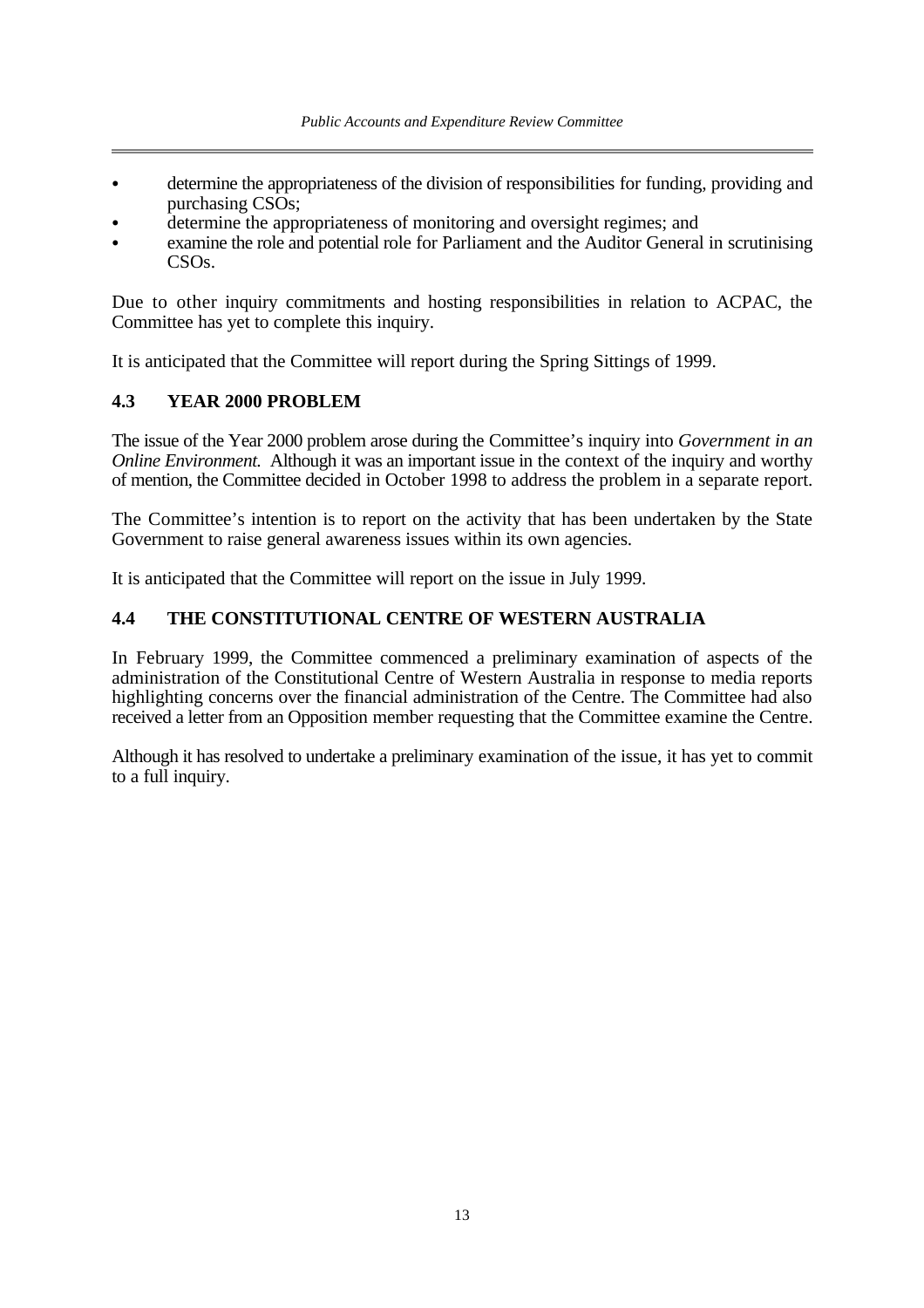- C determine the appropriateness of the division of responsibilities for funding, providing and purchasing CSOs;
- determine the appropriateness of monitoring and oversight regimes; and
- examine the role and potential role for Parliament and the Auditor General in scrutinising CSOs.

Due to other inquiry commitments and hosting responsibilities in relation to ACPAC, the Committee has yet to complete this inquiry.

It is anticipated that the Committee will report during the Spring Sittings of 1999.

#### **4.3 YEAR 2000 PROBLEM**

The issue of the Year 2000 problem arose during the Committee's inquiry into *Government in an Online Environment.* Although it was an important issue in the context of the inquiry and worthy of mention, the Committee decided in October 1998 to address the problem in a separate report.

The Committee's intention is to report on the activity that has been undertaken by the State Government to raise general awareness issues within its own agencies.

It is anticipated that the Committee will report on the issue in July 1999.

#### **4.4 THE CONSTITUTIONAL CENTRE OF WESTERN AUSTRALIA**

In February 1999, the Committee commenced a preliminary examination of aspects of the administration of the Constitutional Centre of Western Australia in response to media reports highlighting concerns over the financial administration of the Centre. The Committee had also received a letter from an Opposition member requesting that the Committee examine the Centre.

Although it has resolved to undertake a preliminary examination of the issue, it has yet to commit to a full inquiry.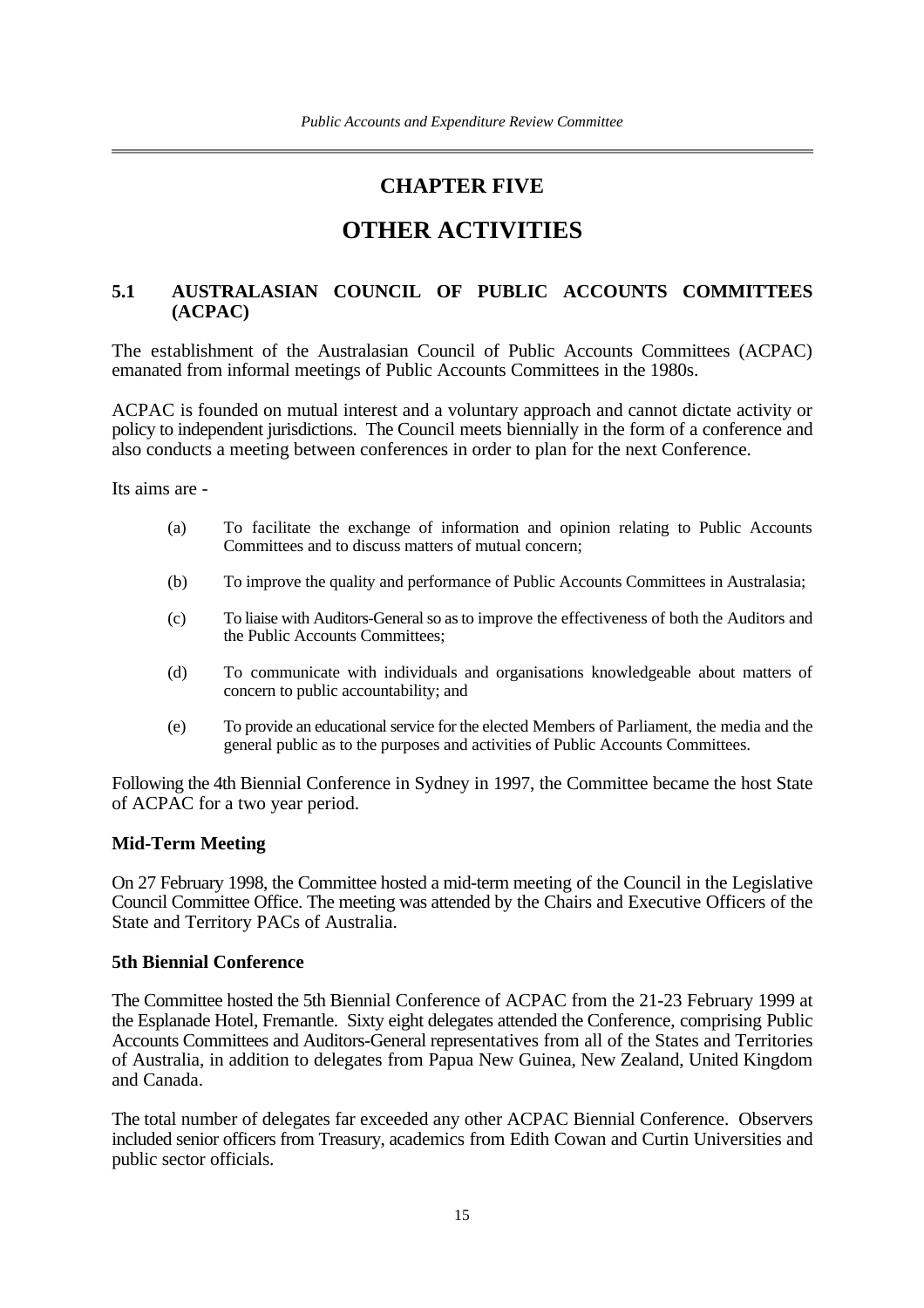## **CHAPTER FIVE**

## **OTHER ACTIVITIES**

#### **5.1 AUSTRALASIAN COUNCIL OF PUBLIC ACCOUNTS COMMITTEES (ACPAC)**

The establishment of the Australasian Council of Public Accounts Committees (ACPAC) emanated from informal meetings of Public Accounts Committees in the 1980s.

ACPAC is founded on mutual interest and a voluntary approach and cannot dictate activity or policy to independent jurisdictions. The Council meets biennially in the form of a conference and also conducts a meeting between conferences in order to plan for the next Conference.

Its aims are -

- (a) To facilitate the exchange of information and opinion relating to Public Accounts Committees and to discuss matters of mutual concern;
- (b) To improve the quality and performance of Public Accounts Committees in Australasia;
- (c) To liaise with Auditors-General so as to improve the effectiveness of both the Auditors and the Public Accounts Committees;
- (d) To communicate with individuals and organisations knowledgeable about matters of concern to public accountability; and
- (e) To provide an educational service for the elected Members of Parliament, the media and the general public as to the purposes and activities of Public Accounts Committees.

Following the 4th Biennial Conference in Sydney in 1997, the Committee became the host State of ACPAC for a two year period.

#### **Mid-Term Meeting**

On 27 February 1998, the Committee hosted a mid-term meeting of the Council in the Legislative Council Committee Office. The meeting was attended by the Chairs and Executive Officers of the State and Territory PACs of Australia.

#### **5th Biennial Conference**

The Committee hosted the 5th Biennial Conference of ACPAC from the 21-23 February 1999 at the Esplanade Hotel, Fremantle. Sixty eight delegates attended the Conference, comprising Public Accounts Committees and Auditors-General representatives from all of the States and Territories of Australia, in addition to delegates from Papua New Guinea, New Zealand, United Kingdom and Canada.

The total number of delegates far exceeded any other ACPAC Biennial Conference. Observers included senior officers from Treasury, academics from Edith Cowan and Curtin Universities and public sector officials.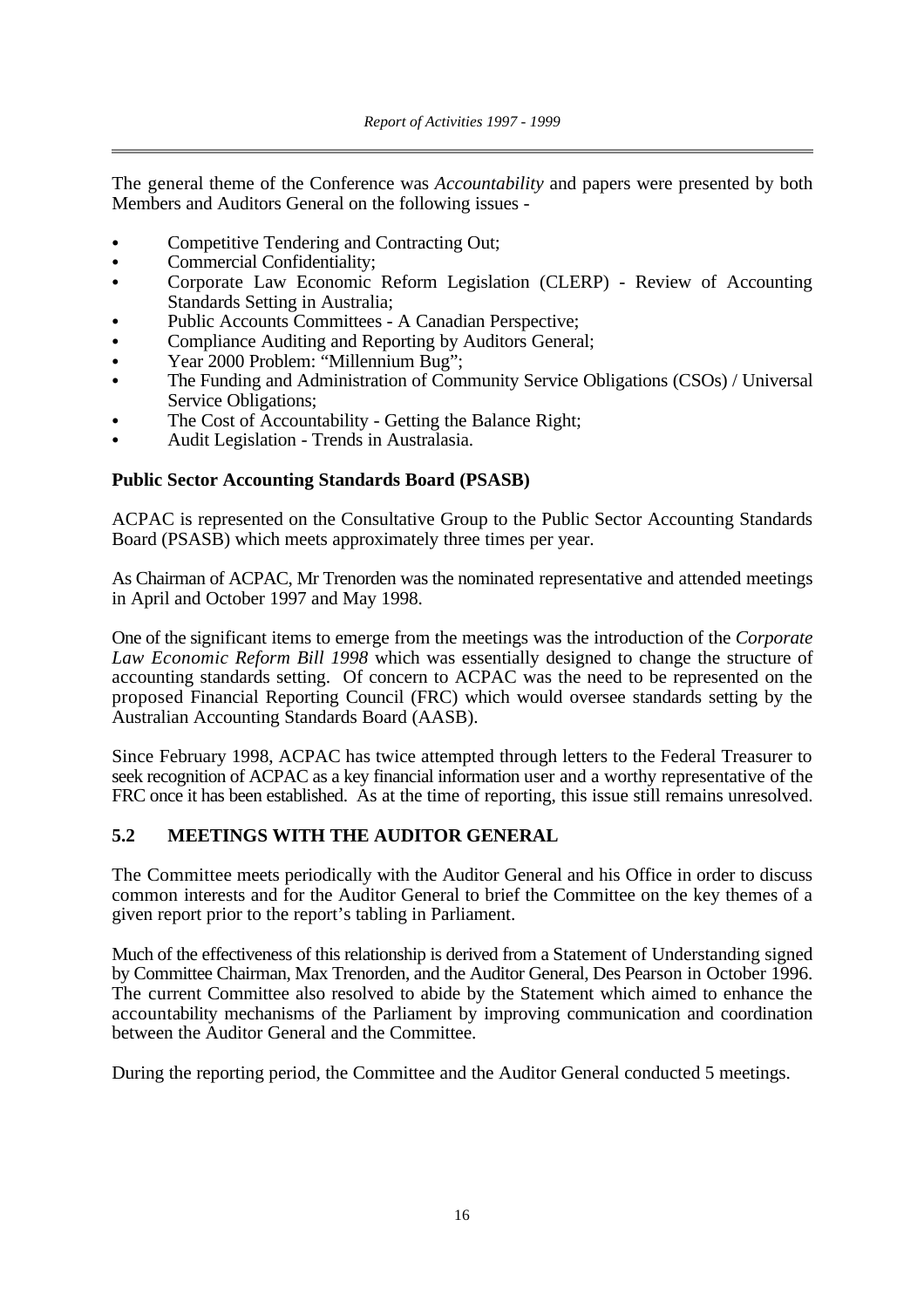The general theme of the Conference was *Accountability* and papers were presented by both Members and Auditors General on the following issues -

- Competitive Tendering and Contracting Out;
- Commercial Confidentiality;
- Corporate Law Economic Reform Legislation (CLERP) Review of Accounting Standards Setting in Australia;
- Public Accounts Committees A Canadian Perspective:
- Compliance Auditing and Reporting by Auditors General;
- Year 2000 Problem: "Millennium Bug";
- The Funding and Administration of Community Service Obligations (CSOs) / Universal Service Obligations;
- The Cost of Accountability Getting the Balance Right;
- Audit Legislation Trends in Australasia.

#### **Public Sector Accounting Standards Board (PSASB)**

ACPAC is represented on the Consultative Group to the Public Sector Accounting Standards Board (PSASB) which meets approximately three times per year.

As Chairman of ACPAC, Mr Trenorden was the nominated representative and attended meetings in April and October 1997 and May 1998.

One of the significant items to emerge from the meetings was the introduction of the *Corporate Law Economic Reform Bill 1998* which was essentially designed to change the structure of accounting standards setting. Of concern to ACPAC was the need to be represented on the proposed Financial Reporting Council (FRC) which would oversee standards setting by the Australian Accounting Standards Board (AASB).

Since February 1998, ACPAC has twice attempted through letters to the Federal Treasurer to seek recognition of ACPAC as a key financial information user and a worthy representative of the FRC once it has been established. As at the time of reporting, this issue still remains unresolved.

#### **5.2 MEETINGS WITH THE AUDITOR GENERAL**

The Committee meets periodically with the Auditor General and his Office in order to discuss common interests and for the Auditor General to brief the Committee on the key themes of a given report prior to the report's tabling in Parliament.

Much of the effectiveness of this relationship is derived from a Statement of Understanding signed by Committee Chairman, Max Trenorden, and the Auditor General, Des Pearson in October 1996. The current Committee also resolved to abide by the Statement which aimed to enhance the accountability mechanisms of the Parliament by improving communication and coordination between the Auditor General and the Committee.

During the reporting period, the Committee and the Auditor General conducted 5 meetings.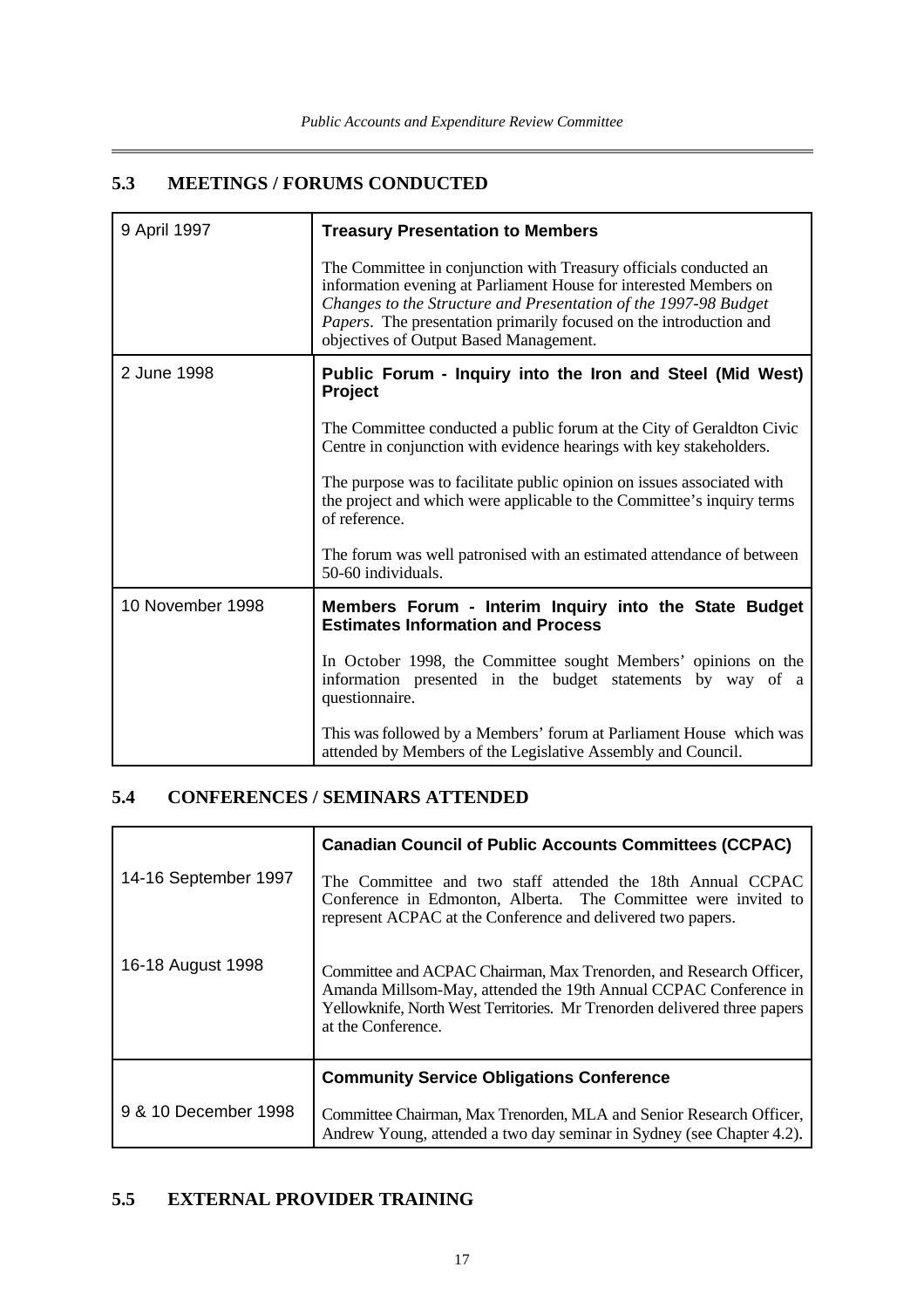## **5.3 MEETINGS / FORUMS CONDUCTED**

| 9 April 1997     | <b>Treasury Presentation to Members</b>                                                                                                                                                                                                                                                                                   |  |  |
|------------------|---------------------------------------------------------------------------------------------------------------------------------------------------------------------------------------------------------------------------------------------------------------------------------------------------------------------------|--|--|
|                  | The Committee in conjunction with Treasury officials conducted an<br>information evening at Parliament House for interested Members on<br>Changes to the Structure and Presentation of the 1997-98 Budget<br>Papers. The presentation primarily focused on the introduction and<br>objectives of Output Based Management. |  |  |
| 2 June 1998      | Public Forum - Inquiry into the Iron and Steel (Mid West)<br>Project                                                                                                                                                                                                                                                      |  |  |
|                  | The Committee conducted a public forum at the City of Geraldton Civic<br>Centre in conjunction with evidence hearings with key stakeholders.                                                                                                                                                                              |  |  |
|                  | The purpose was to facilitate public opinion on issues associated with<br>the project and which were applicable to the Committee's inquiry terms<br>of reference.                                                                                                                                                         |  |  |
|                  | The forum was well patronised with an estimated attendance of between<br>50-60 individuals.                                                                                                                                                                                                                               |  |  |
| 10 November 1998 | Members Forum - Interim Inquiry into the State Budget<br><b>Estimates Information and Process</b>                                                                                                                                                                                                                         |  |  |
|                  | In October 1998, the Committee sought Members' opinions on the<br>information presented in the budget statements by way of a<br>questionnaire.                                                                                                                                                                            |  |  |
|                  | This was followed by a Members' forum at Parliament House which was<br>attended by Members of the Legislative Assembly and Council.                                                                                                                                                                                       |  |  |

### **5.4 CONFERENCES / SEMINARS ATTENDED**

 $\mathbf{r}$ 

|                      | <b>Canadian Council of Public Accounts Committees (CCPAC)</b>                                                                                                                                                                            |  |  |
|----------------------|------------------------------------------------------------------------------------------------------------------------------------------------------------------------------------------------------------------------------------------|--|--|
| 14-16 September 1997 | The Committee and two staff attended the 18th Annual CCPAC<br>Conference in Edmonton, Alberta. The Committee were invited to<br>represent ACPAC at the Conference and delivered two papers.                                              |  |  |
| 16-18 August 1998    | Committee and ACPAC Chairman, Max Trenorden, and Research Officer,<br>Amanda Millsom-May, attended the 19th Annual CCPAC Conference in<br>Yellowknife, North West Territories. Mr Trenorden delivered three papers<br>at the Conference. |  |  |
|                      | <b>Community Service Obligations Conference</b>                                                                                                                                                                                          |  |  |
| 9 & 10 December 1998 | Committee Chairman, Max Trenorden, MLA and Senior Research Officer,<br>Andrew Young, attended a two day seminar in Sydney (see Chapter 4.2).                                                                                             |  |  |

### **5.5 EXTERNAL PROVIDER TRAINING**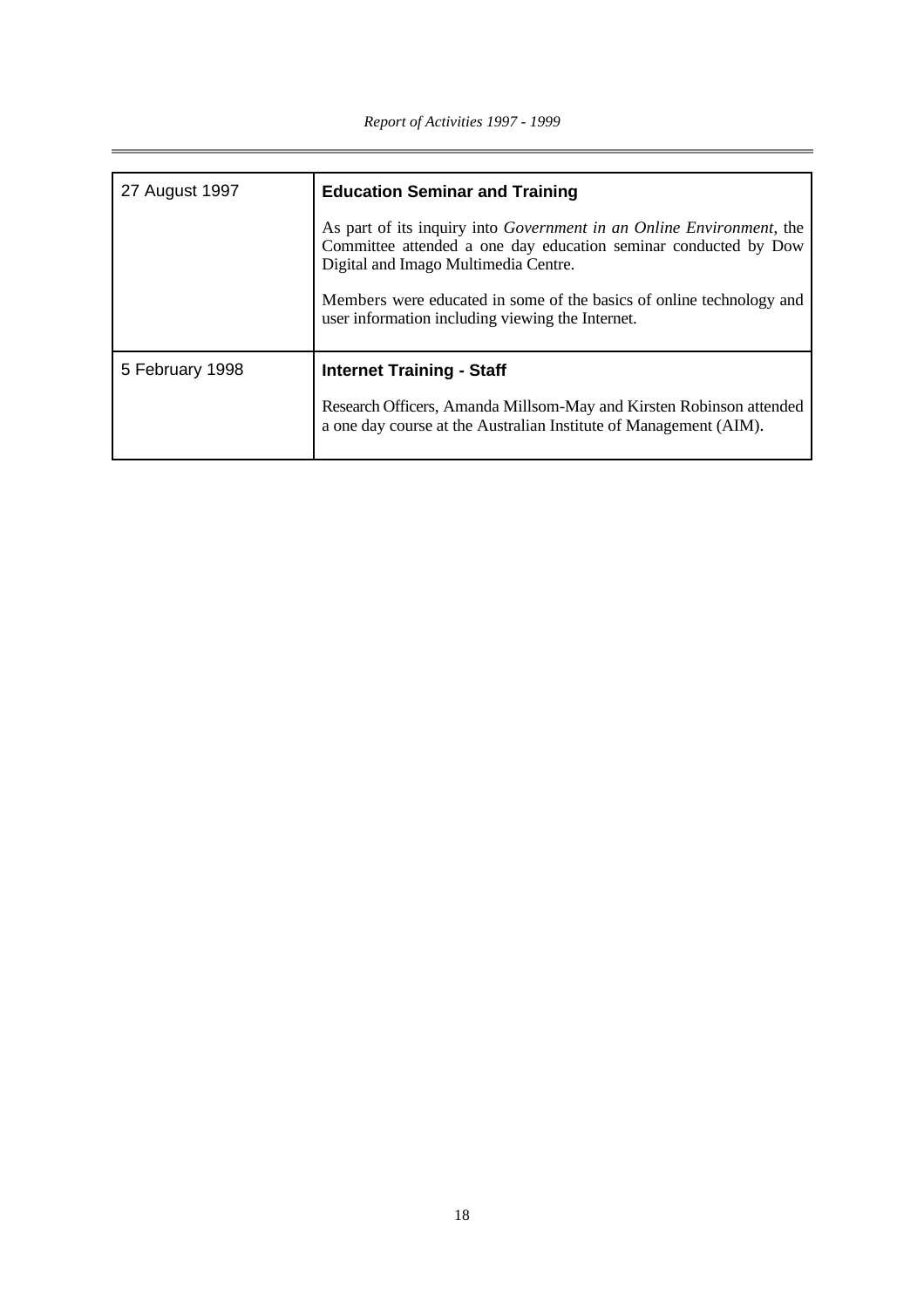| 27 August 1997  | <b>Education Seminar and Training</b>                                                                                                                                                   |  |  |
|-----------------|-----------------------------------------------------------------------------------------------------------------------------------------------------------------------------------------|--|--|
|                 | As part of its inquiry into <i>Government in an Online Environment</i> , the<br>Committee attended a one day education seminar conducted by Dow<br>Digital and Imago Multimedia Centre. |  |  |
|                 | Members were educated in some of the basics of online technology and<br>user information including viewing the Internet.                                                                |  |  |
| 5 February 1998 | <b>Internet Training - Staff</b>                                                                                                                                                        |  |  |
|                 | Research Officers, Amanda Millsom-May and Kirsten Robinson attended<br>a one day course at the Australian Institute of Management (AIM).                                                |  |  |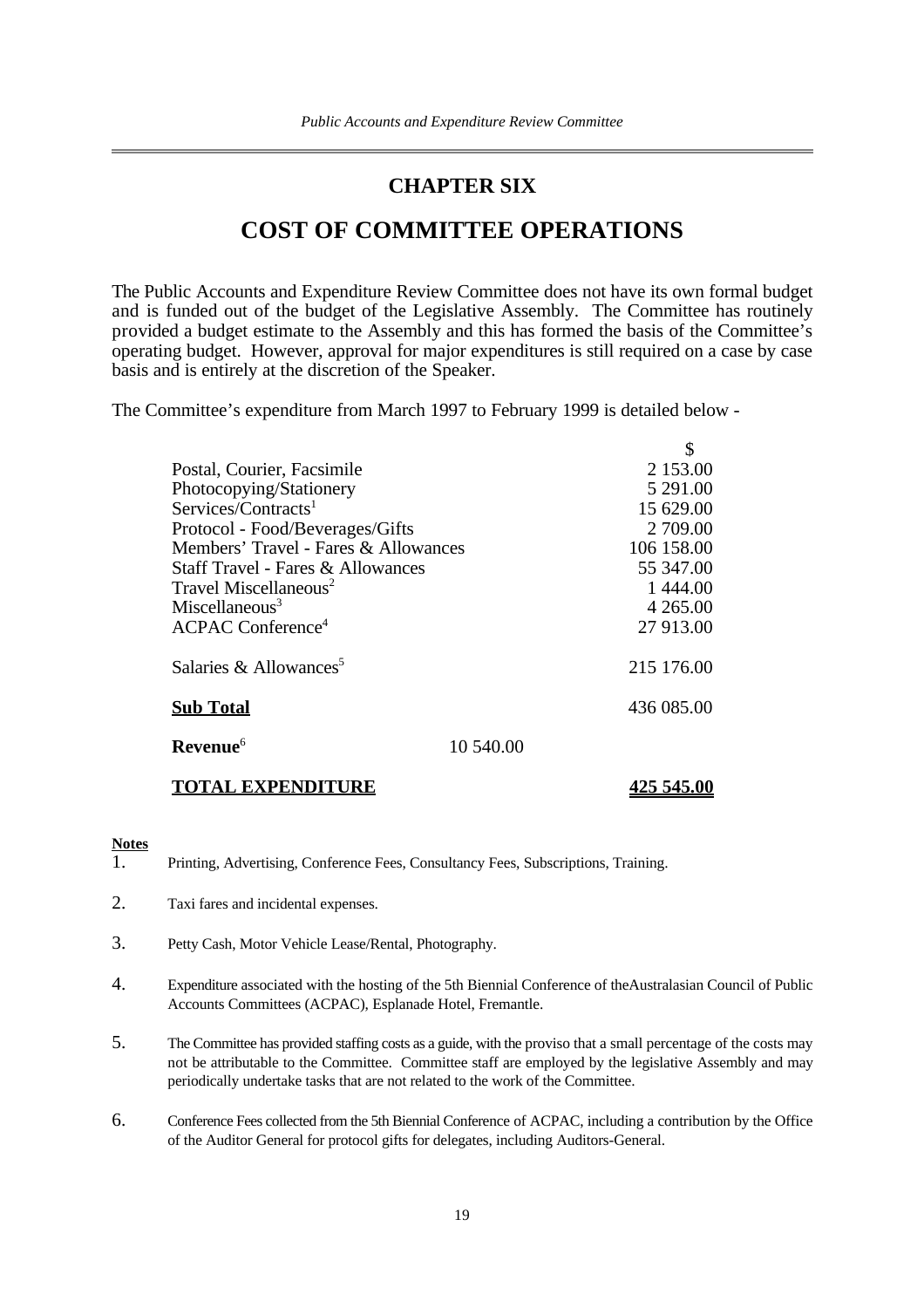## **CHAPTER SIX**

## **COST OF COMMITTEE OPERATIONS**

The Public Accounts and Expenditure Review Committee does not have its own formal budget and is funded out of the budget of the Legislative Assembly. The Committee has routinely provided a budget estimate to the Assembly and this has formed the basis of the Committee's operating budget. However, approval for major expenditures is still required on a case by case basis and is entirely at the discretion of the Speaker.

The Committee's expenditure from March 1997 to February 1999 is detailed below -

| Postal, Courier, Facsimile           |           | 2 153.00    |
|--------------------------------------|-----------|-------------|
| Photocopying/Stationery              |           | 5 291.00    |
| Services/Contracts <sup>1</sup>      |           | 15 629.00   |
| Protocol - Food/Beverages/Gifts      |           | 2 709.00    |
| Members' Travel - Fares & Allowances |           | 106 158.00  |
| Staff Travel - Fares & Allowances    |           | 55 347.00   |
| Travel Miscellaneous <sup>2</sup>    |           | 1444.00     |
| Miscellaneous <sup>3</sup>           |           | 4 2 6 5 .00 |
| $ACPAC$ Conference <sup>4</sup>      |           | 27 913.00   |
| Salaries & Allowances <sup>5</sup>   |           | 215 176.00  |
| <b>Sub Total</b>                     |           | 436 085.00  |
| Revenue <sup>6</sup>                 | 10.540.00 |             |
|                                      |           |             |

**TOTAL EXPENDITURE 425 545.00**

#### **Notes**

- 1. Printing, Advertising, Conference Fees, Consultancy Fees, Subscriptions, Training.
- 2. Taxi fares and incidental expenses.
- 3. Petty Cash, Motor Vehicle Lease/Rental, Photography.
- 4. Expenditure associated with the hosting of the 5th Biennial Conference of theAustralasian Council of Public Accounts Committees (ACPAC), Esplanade Hotel, Fremantle.
- 5. The Committee has provided staffing costs as a guide, with the proviso that a small percentage of the costs may not be attributable to the Committee. Committee staff are employed by the legislative Assembly and may periodically undertake tasks that are not related to the work of the Committee.
- 6. Conference Fees collected from the 5th Biennial Conference of ACPAC, including a contribution by the Office of the Auditor General for protocol gifts for delegates, including Auditors-General.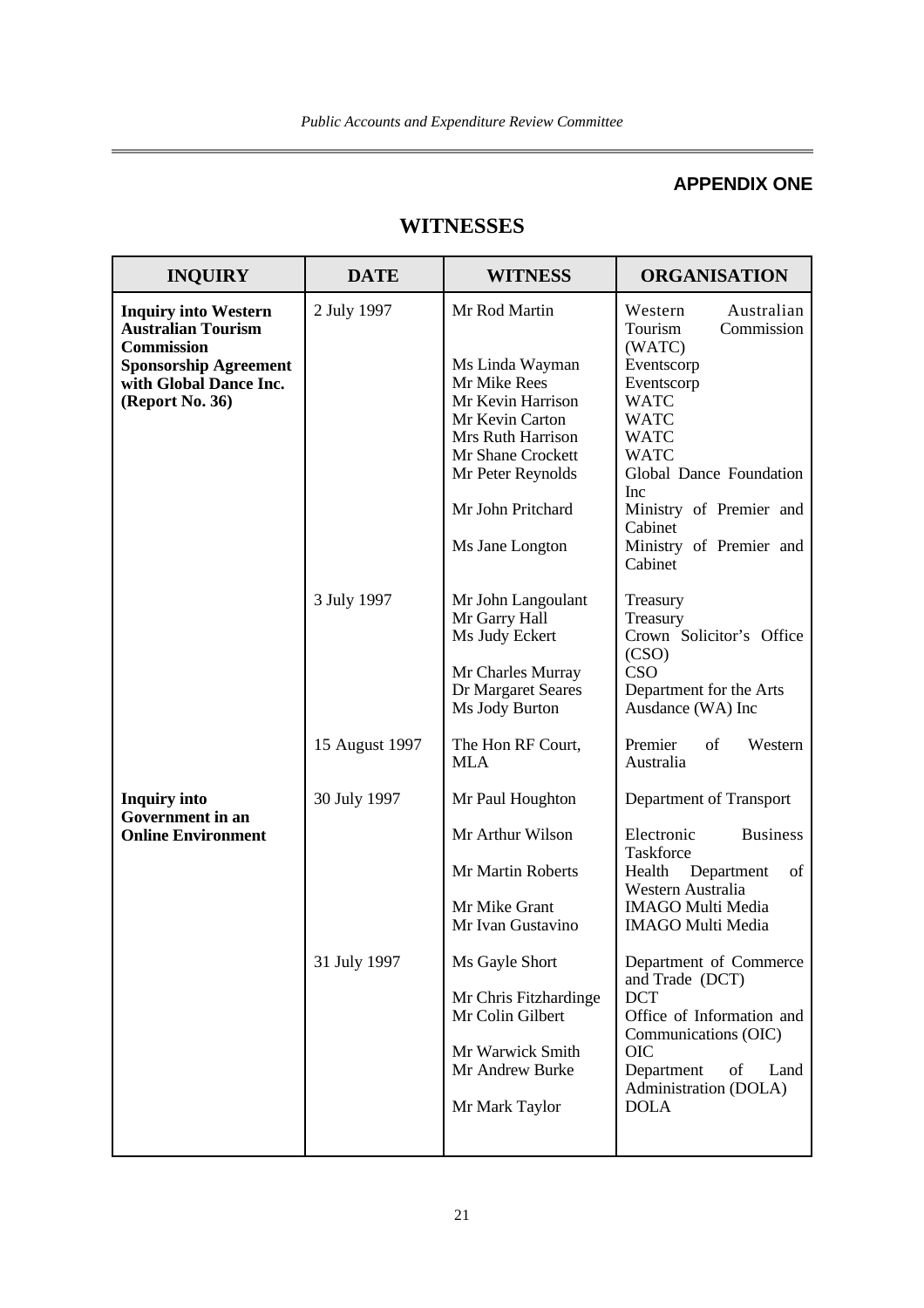## **APPENDIX ONE**

## **WITNESSES**

| <b>INQUIRY</b>                                                                                                                                             | <b>DATE</b>                   | <b>WITNESS</b>                                                                                                                                                                                  | <b>ORGANISATION</b>                                                                                                                                                                                                                                                   |
|------------------------------------------------------------------------------------------------------------------------------------------------------------|-------------------------------|-------------------------------------------------------------------------------------------------------------------------------------------------------------------------------------------------|-----------------------------------------------------------------------------------------------------------------------------------------------------------------------------------------------------------------------------------------------------------------------|
| <b>Inquiry into Western</b><br><b>Australian Tourism</b><br><b>Commission</b><br><b>Sponsorship Agreement</b><br>with Global Dance Inc.<br>(Report No. 36) | 2 July 1997                   | Mr Rod Martin<br>Ms Linda Wayman<br>Mr Mike Rees<br>Mr Kevin Harrison<br>Mr Kevin Carton<br>Mrs Ruth Harrison<br>Mr Shane Crockett<br>Mr Peter Reynolds<br>Mr John Pritchard<br>Ms Jane Longton | Australian<br>Western<br>Tourism<br>Commission<br>(WATC)<br>Eventscorp<br>Eventscorp<br><b>WATC</b><br><b>WATC</b><br><b>WATC</b><br><b>WATC</b><br>Global Dance Foundation<br><b>Inc</b><br>Ministry of Premier and<br>Cabinet<br>Ministry of Premier and<br>Cabinet |
|                                                                                                                                                            | 3 July 1997<br>15 August 1997 | Mr John Langoulant<br>Mr Garry Hall<br>Ms Judy Eckert<br>Mr Charles Murray<br>Dr Margaret Seares<br>Ms Jody Burton<br>The Hon RF Court,                                                         | Treasury<br>Treasury<br>Crown Solicitor's Office<br>(CSO)<br>CSO<br>Department for the Arts<br>Ausdance (WA) Inc<br>Premier<br>of<br>Western                                                                                                                          |
| <b>Inquiry into</b><br><b>Government</b> in an<br><b>Online Environment</b>                                                                                | 30 July 1997<br>31 July 1997  | <b>MLA</b><br>Mr Paul Houghton<br>Mr Arthur Wilson<br>Mr Martin Roberts<br>Mr Mike Grant<br>Mr Ivan Gustavino<br>Ms Gayle Short                                                                 | Australia<br>Department of Transport<br>Electronic<br><b>Business</b><br>Taskforce<br>Health<br>Department<br>of<br>Western Australia<br><b>IMAGO Multi Media</b><br><b>IMAGO Multi Media</b><br>Department of Commerce<br>and Trade (DCT)                            |
|                                                                                                                                                            |                               | Mr Chris Fitzhardinge<br>Mr Colin Gilbert<br>Mr Warwick Smith<br>Mr Andrew Burke<br>Mr Mark Taylor                                                                                              | <b>DCT</b><br>Office of Information and<br>Communications (OIC)<br><b>OIC</b><br>Department<br>of<br>Land<br>Administration (DOLA)<br><b>DOLA</b>                                                                                                                     |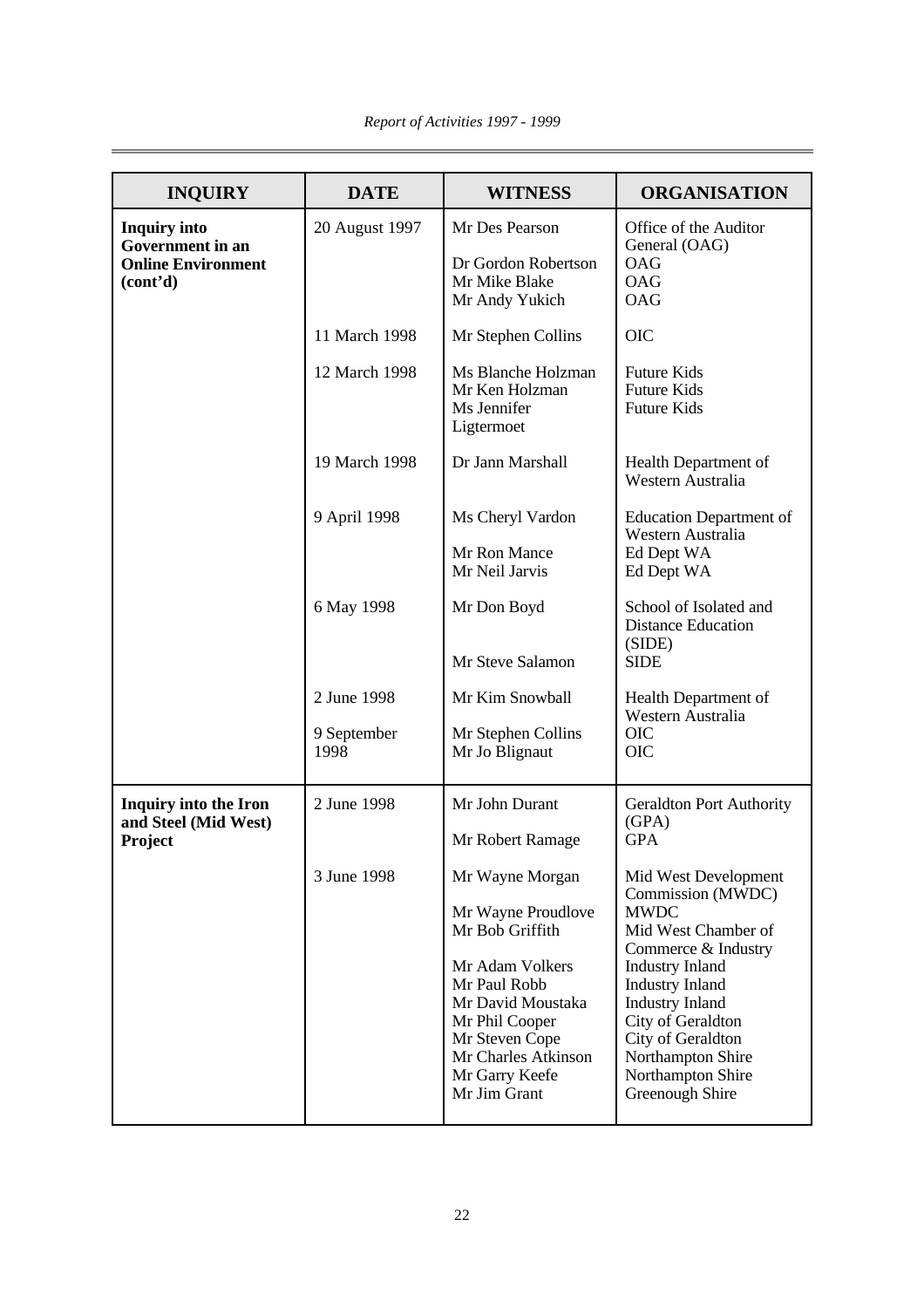| <b>INQUIRY</b>                                                                          | <b>DATE</b>         | <b>WITNESS</b>                                                                                                                                                                             | <b>ORGANISATION</b>                                                                                                                                                                                                                                                 |
|-----------------------------------------------------------------------------------------|---------------------|--------------------------------------------------------------------------------------------------------------------------------------------------------------------------------------------|---------------------------------------------------------------------------------------------------------------------------------------------------------------------------------------------------------------------------------------------------------------------|
| <b>Inquiry into</b><br><b>Government</b> in an<br><b>Online Environment</b><br>(cont'd) | 20 August 1997      | Mr Des Pearson<br>Dr Gordon Robertson<br>Mr Mike Blake<br>Mr Andy Yukich                                                                                                                   | Office of the Auditor<br>General (OAG)<br><b>OAG</b><br><b>OAG</b><br><b>OAG</b>                                                                                                                                                                                    |
|                                                                                         | 11 March 1998       | Mr Stephen Collins                                                                                                                                                                         | <b>OIC</b>                                                                                                                                                                                                                                                          |
|                                                                                         | 12 March 1998       | Ms Blanche Holzman<br>Mr Ken Holzman<br>Ms Jennifer<br>Ligtermoet                                                                                                                          | <b>Future Kids</b><br><b>Future Kids</b><br><b>Future Kids</b>                                                                                                                                                                                                      |
|                                                                                         | 19 March 1998       | Dr Jann Marshall                                                                                                                                                                           | Health Department of<br>Western Australia                                                                                                                                                                                                                           |
|                                                                                         | 9 April 1998        | Ms Cheryl Vardon                                                                                                                                                                           | <b>Education Department of</b><br>Western Australia                                                                                                                                                                                                                 |
|                                                                                         |                     | Mr Ron Mance<br>Mr Neil Jarvis                                                                                                                                                             | Ed Dept WA<br>Ed Dept WA                                                                                                                                                                                                                                            |
|                                                                                         | 6 May 1998          | Mr Don Boyd                                                                                                                                                                                | School of Isolated and<br><b>Distance Education</b><br>(SIDE)                                                                                                                                                                                                       |
|                                                                                         |                     | Mr Steve Salamon                                                                                                                                                                           | <b>SIDE</b>                                                                                                                                                                                                                                                         |
|                                                                                         | 2 June 1998         | Mr Kim Snowball                                                                                                                                                                            | Health Department of<br>Western Australia                                                                                                                                                                                                                           |
|                                                                                         | 9 September<br>1998 | Mr Stephen Collins<br>Mr Jo Blignaut                                                                                                                                                       | <b>OIC</b><br><b>OIC</b>                                                                                                                                                                                                                                            |
| <b>Inquiry into the Iron</b><br>and Steel (Mid West)<br>Project                         | 2 June 1998         | Mr John Durant<br>Mr Robert Ramage                                                                                                                                                         | <b>Geraldton Port Authority</b><br>(GPA)<br><b>GPA</b>                                                                                                                                                                                                              |
|                                                                                         | 3 June 1998         | Mr Wayne Morgan                                                                                                                                                                            | Mid West Development                                                                                                                                                                                                                                                |
|                                                                                         |                     | Mr Wayne Proudlove<br>Mr Bob Griffith<br>Mr Adam Volkers<br>Mr Paul Robb<br>Mr David Moustaka<br>Mr Phil Cooper<br>Mr Steven Cope<br>Mr Charles Atkinson<br>Mr Garry Keefe<br>Mr Jim Grant | Commission (MWDC)<br><b>MWDC</b><br>Mid West Chamber of<br>Commerce & Industry<br><b>Industry Inland</b><br><b>Industry Inland</b><br><b>Industry Inland</b><br>City of Geraldton<br>City of Geraldton<br>Northampton Shire<br>Northampton Shire<br>Greenough Shire |

ı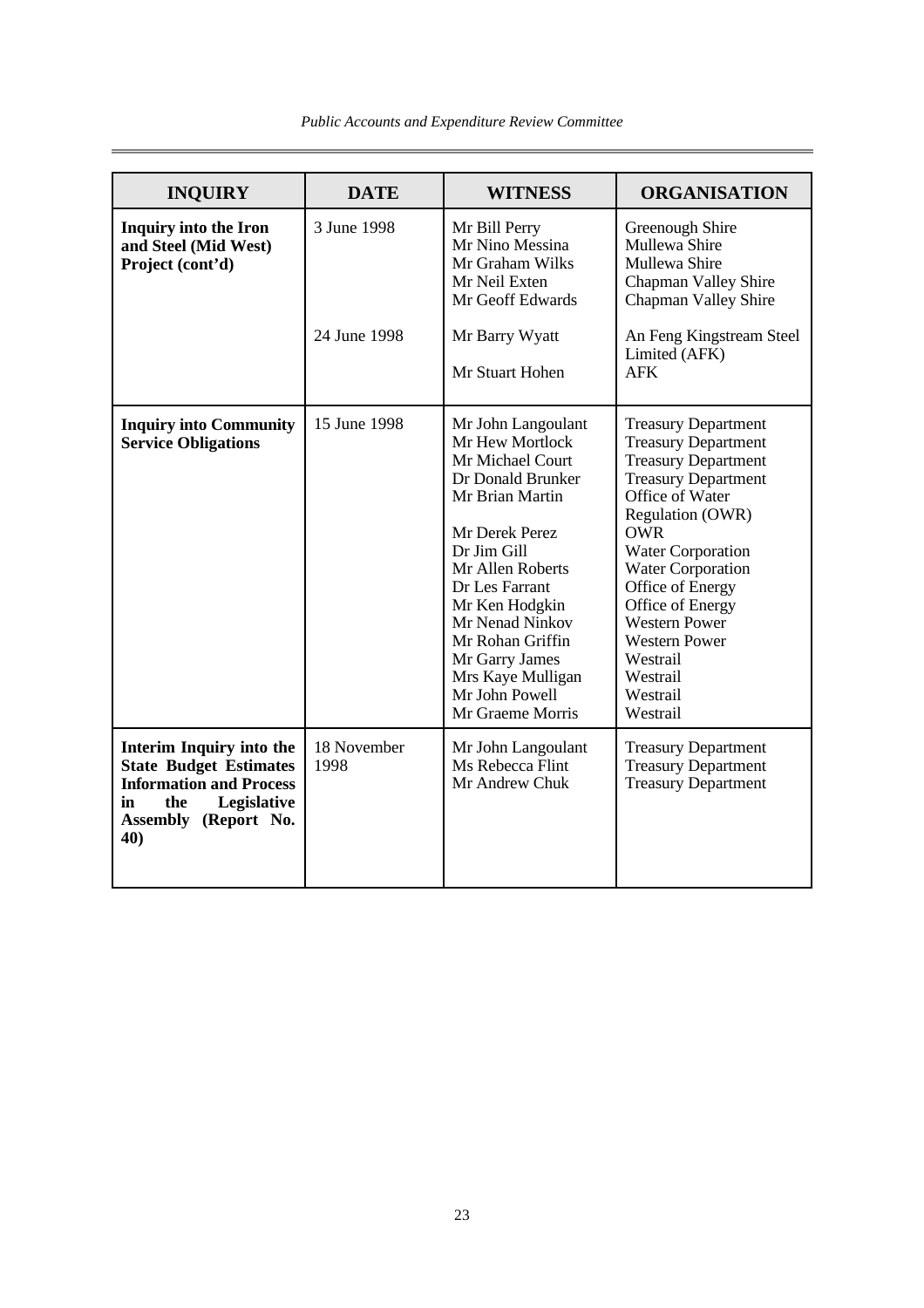| <b>INQUIRY</b>                                                                                                                                         | <b>DATE</b>                 | <b>WITNESS</b>                                                                                                                                                                                                                                                                                                 | <b>ORGANISATION</b>                                                                                                                                                                                                                                                                                                                                                       |
|--------------------------------------------------------------------------------------------------------------------------------------------------------|-----------------------------|----------------------------------------------------------------------------------------------------------------------------------------------------------------------------------------------------------------------------------------------------------------------------------------------------------------|---------------------------------------------------------------------------------------------------------------------------------------------------------------------------------------------------------------------------------------------------------------------------------------------------------------------------------------------------------------------------|
| <b>Inquiry into the Iron</b><br>and Steel (Mid West)<br>Project (cont'd)                                                                               | 3 June 1998<br>24 June 1998 | Mr Bill Perry<br>Mr Nino Messina<br>Mr Graham Wilks<br>Mr Neil Exten<br>Mr Geoff Edwards<br>Mr Barry Wyatt<br>Mr Stuart Hohen                                                                                                                                                                                  | Greenough Shire<br>Mullewa Shire<br>Mullewa Shire<br>Chapman Valley Shire<br>Chapman Valley Shire<br>An Feng Kingstream Steel<br>Limited (AFK)<br><b>AFK</b>                                                                                                                                                                                                              |
| <b>Inquiry into Community</b><br><b>Service Obligations</b>                                                                                            | 15 June 1998                | Mr John Langoulant<br>Mr Hew Mortlock<br>Mr Michael Court<br>Dr Donald Brunker<br>Mr Brian Martin<br>Mr Derek Perez<br>Dr Jim Gill<br>Mr Allen Roberts<br>Dr Les Farrant<br>Mr Ken Hodgkin<br>Mr Nenad Ninkov<br>Mr Rohan Griffin<br>Mr Garry James<br>Mrs Kaye Mulligan<br>Mr John Powell<br>Mr Graeme Morris | <b>Treasury Department</b><br><b>Treasury Department</b><br><b>Treasury Department</b><br><b>Treasury Department</b><br>Office of Water<br>Regulation (OWR)<br><b>OWR</b><br><b>Water Corporation</b><br><b>Water Corporation</b><br>Office of Energy<br>Office of Energy<br><b>Western Power</b><br><b>Western Power</b><br>Westrail<br>Westrail<br>Westrail<br>Westrail |
| Interim Inquiry into the<br><b>State Budget Estimates</b><br><b>Information and Process</b><br>Legislative<br>in<br>the<br>Assembly (Report No.<br>40) | 18 November<br>1998         | Mr John Langoulant<br>Ms Rebecca Flint<br>Mr Andrew Chuk                                                                                                                                                                                                                                                       | <b>Treasury Department</b><br><b>Treasury Department</b><br><b>Treasury Department</b>                                                                                                                                                                                                                                                                                    |